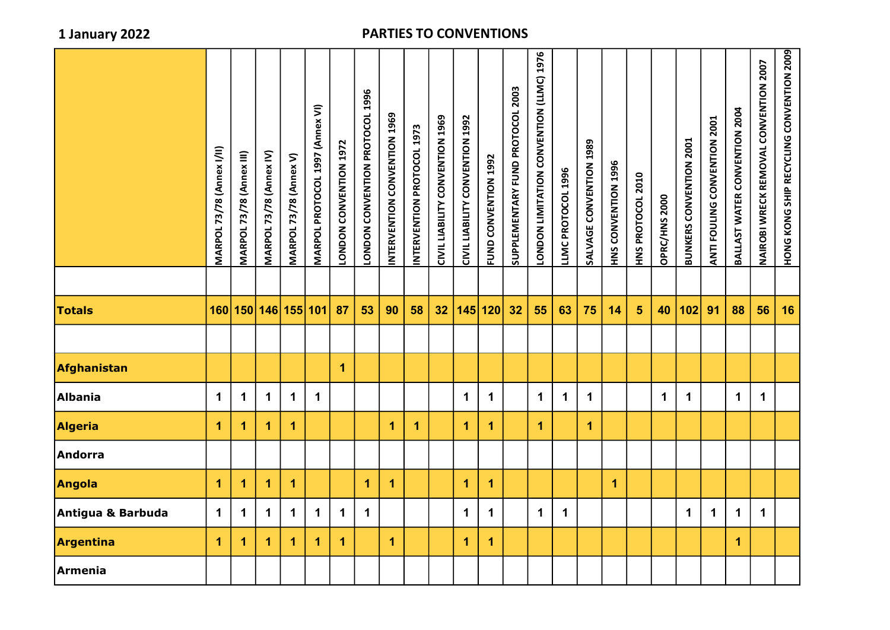|                   | <b>MARPOL 73/78 (Annex I/II)</b> | MARPOL 73/78 (Annex III) | MARPOL 73/78 (Annex IV) | MARPOL 73/78 (Annex V)  | MARPOL PROTOCOL 1997 (Annex VI) | LONDON CONVENTION 1972 | LONDON CONVENTION PROTOCOL 1996 | INTERVENTION CONVENTION 1969 | INTERVENTION PROTOCOL 1973 | CIVIL LIABILITY CONVENTION 1969 | CIVIL LIABILITY CONVENTION 1992 | FUND CONNENTION | SUPPLEMENTARY FUND PROTOCOL 2003 | <b>DODOO CONVENTATION CONSTRUST DISPOSE</b> | LLMC PROTOCOL 1996 | SALVAGE CONVENTION 1989 | HNS CONVENTION 1996 | HNS PROTOCOL 2010 | OPRC/HNS 2000 | <b>BUNKERS CONVENTION 2001</b> | ANTI FOULING CONVENTION 2001 | BALLAST WATER CONVENTION 2004 | NAIROBI WRECK REMOVAL CONVENTION 2007 | HONG KONG SHIP RECYCLING CONVENTION 2009 |
|-------------------|----------------------------------|--------------------------|-------------------------|-------------------------|---------------------------------|------------------------|---------------------------------|------------------------------|----------------------------|---------------------------------|---------------------------------|-----------------|----------------------------------|---------------------------------------------|--------------------|-------------------------|---------------------|-------------------|---------------|--------------------------------|------------------------------|-------------------------------|---------------------------------------|------------------------------------------|
| <b>Totals</b>     |                                  | 160 150 146 155 101      |                         |                         |                                 | 87                     | 53                              | 90                           | 58                         | 32 <sub>2</sub>                 |                                 | 145 120         | 32                               | 55                                          | 63                 | 75                      | 14                  | 5 <sup>5</sup>    | 40            | 102                            | 91                           | 88                            | 56                                    | 16                                       |
|                   |                                  |                          |                         |                         |                                 |                        |                                 |                              |                            |                                 |                                 |                 |                                  |                                             |                    |                         |                     |                   |               |                                |                              |                               |                                       |                                          |
| Afghanistan       |                                  |                          |                         |                         |                                 | $\overline{1}$         |                                 |                              |                            |                                 |                                 |                 |                                  |                                             |                    |                         |                     |                   |               |                                |                              |                               |                                       |                                          |
| <b>Albania</b>    | $\mathbf 1$                      | 1                        | $\mathbf 1$             | $\mathbf 1$             | $\mathbf 1$                     |                        |                                 |                              |                            |                                 | 1                               | $\mathbf 1$     |                                  | $\mathbf 1$                                 | $\mathbf 1$        | $\mathbf 1$             |                     |                   | $\mathbf 1$   | $\mathbf 1$                    |                              | $\mathbf 1$                   | $\mathbf 1$                           |                                          |
| Algeria           | 1                                | 1                        | 1                       | $\overline{\mathbf{1}}$ |                                 |                        |                                 | 1                            | $\blacktriangleleft$       |                                 | 1                               | $\mathbf{1}$    |                                  | $\mathbf{1}$                                |                    | $\mathbf 1$             |                     |                   |               |                                |                              |                               |                                       |                                          |
| <b>Andorra</b>    |                                  |                          |                         |                         |                                 |                        |                                 |                              |                            |                                 |                                 |                 |                                  |                                             |                    |                         |                     |                   |               |                                |                              |                               |                                       |                                          |
| Angola            | 1                                | $\overline{\mathbf{1}}$  | 1                       | $\mathbf{1}$            |                                 |                        | $\overline{1}$                  | $\overline{\mathbf{1}}$      |                            |                                 | 1                               | $\mathbf{1}$    |                                  |                                             |                    |                         | $\mathbf{1}$        |                   |               |                                |                              |                               |                                       |                                          |
| Antigua & Barbuda | $\mathbf 1$                      | $\mathbf 1$              | $\mathbf 1$             | $\mathbf 1$             | $\mathbf 1$                     | $\mathbf 1$            | $\mathbf 1$                     |                              |                            |                                 | 1                               | $\mathbf 1$     |                                  | $\mathbf 1$                                 | $\mathbf 1$        |                         |                     |                   |               | $\mathbf 1$                    | $\mathbf 1$                  | $\mathbf 1$                   | $\mathbf 1$                           |                                          |
| Argentina         | 1                                | 1                        | 1                       | $\overline{\mathbf{1}}$ | 1                               | 1                      |                                 | $\mathbf{1}$                 |                            |                                 | 1                               | $\mathbf{1}$    |                                  |                                             |                    |                         |                     |                   |               |                                |                              | $\overline{1}$                |                                       |                                          |
| <b>Armenia</b>    |                                  |                          |                         |                         |                                 |                        |                                 |                              |                            |                                 |                                 |                 |                                  |                                             |                    |                         |                     |                   |               |                                |                              |                               |                                       |                                          |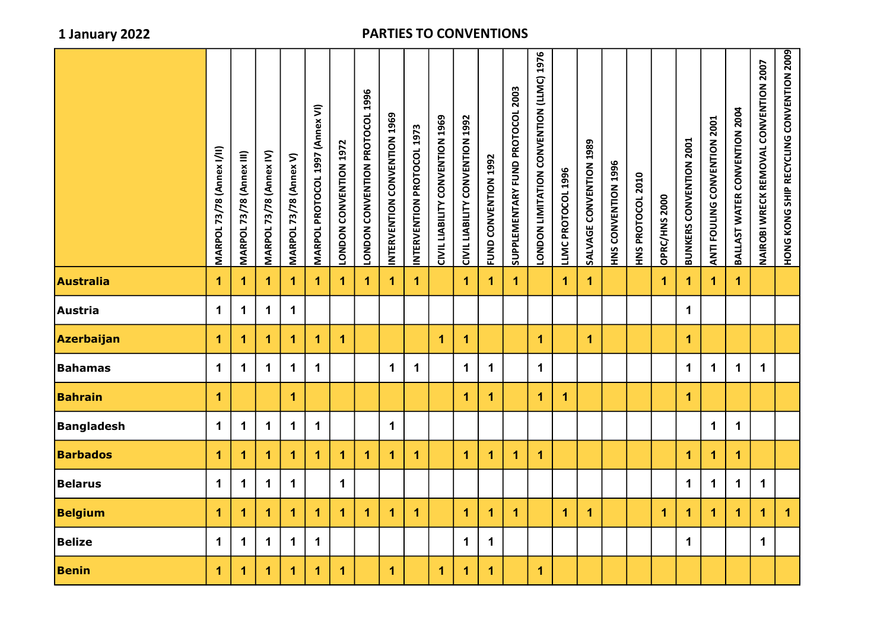|                   | <b>MARPOL 73/78 (Annex I/II)</b> | <b>MARPOL 73/78 (Annex III)</b> | MARPOL 73/78 (Annex IV) | MARPOL 73/78 (Annex V) | MARPOL PROTOCOL 1997 (Annex VI) | LONDON CONVENTION 1972 | LONDON CONVENTION PROTOCOL 1996 | INTERVENTION CONVENTION 1969 | INTERVENTION PROTOCOL 1973 | CIVIL LIABILITY CONVENTION 1969 | CIVIL LIABILITY CONVENTION 1992 | FUND CONVENTION 1992 | SUPPLEMENTARY FUND PROTOCOL 2003 | LONDON LIMITATION CONVENTION (LLMC) 1976 | LLMC PROTOCOL 1996   | SALVAGE CONVENTION 1989 | HNS CONVENTION 1996 | HNS PROTOCOL 2010 | OPRC/HNS 2000 | <b>BUNKERS CONVENTION 2001</b> | ANTI FOULING CONVENTION 2001 | BALLAST WATER CONVENTION 2004 | NAIROBI WRECK REMOVAL CONVENTION 2007 | HONG KONG SHIP RECYCLING CONVENTION 2009 |
|-------------------|----------------------------------|---------------------------------|-------------------------|------------------------|---------------------------------|------------------------|---------------------------------|------------------------------|----------------------------|---------------------------------|---------------------------------|----------------------|----------------------------------|------------------------------------------|----------------------|-------------------------|---------------------|-------------------|---------------|--------------------------------|------------------------------|-------------------------------|---------------------------------------|------------------------------------------|
| <b>Australia</b>  | $\mathbf{1}$                     | 1                               | $\overline{1}$          | $\blacktriangleleft$   | $\blacktriangleleft$            | $\blacktriangleleft$   | $\mathbf{1}$                    | $\overline{1}$               | $\mathbf{1}$               |                                 | $\mathbf{1}$                    | 1                    | $\mathbf{1}$                     |                                          | $\mathbf{1}$         | $\mathbf{1}$            |                     |                   | $\mathbf{1}$  | $\mathbf{1}$                   | $\mathbf{1}$                 | $\blacktriangleleft$          |                                       |                                          |
| Austria           | $\mathbf 1$                      | $\mathbf 1$                     | $\mathbf 1$             | $\mathbf 1$            |                                 |                        |                                 |                              |                            |                                 |                                 |                      |                                  |                                          |                      |                         |                     |                   |               | $\mathbf 1$                    |                              |                               |                                       |                                          |
| Azerbaijan        | $\mathbf{1}$                     | 1                               | 1                       | $\mathbf{1}$           | $\blacktriangleleft$            | $\blacktriangleleft$   |                                 |                              |                            | 1                               | 1                               |                      |                                  | $\mathbf{1}$                             |                      | $\mathbf{1}$            |                     |                   |               | 1                              |                              |                               |                                       |                                          |
| <b>Bahamas</b>    | $\mathbf 1$                      | $\mathbf 1$                     | $\mathbf 1$             | $\mathbf 1$            | $\mathbf 1$                     |                        |                                 | $\mathbf 1$                  | $\mathbf 1$                |                                 | $\mathbf 1$                     | $\mathbf 1$          |                                  | $\mathbf 1$                              |                      |                         |                     |                   |               | $\mathbf 1$                    | $\mathbf 1$                  | $\mathbf 1$                   | $\mathbf 1$                           |                                          |
| <b>Bahrain</b>    | $\blacktriangleleft$             |                                 |                         | $\blacktriangleleft$   |                                 |                        |                                 |                              |                            |                                 | $\overline{1}$                  | $\overline{1}$       |                                  | $\blacktriangleleft$                     | $\mathbf{1}$         |                         |                     |                   |               | $\mathbf{1}$                   |                              |                               |                                       |                                          |
| <b>Bangladesh</b> | $\mathbf 1$                      | $\mathbf 1$                     | $\mathbf 1$             | $\mathbf 1$            | $\mathbf 1$                     |                        |                                 | $\mathbf 1$                  |                            |                                 |                                 |                      |                                  |                                          |                      |                         |                     |                   |               |                                | $\mathbf 1$                  | $\mathbf 1$                   |                                       |                                          |
| <b>Barbados</b>   | $\mathbf{1}$                     | 1                               | 1                       | $\mathbf 1$            | $\blacktriangleleft$            | $\blacktriangleleft$   | $\blacktriangleleft$            | $\blacktriangleleft$         | $\mathbf{1}$               |                                 | 1                               | $\blacktriangleleft$ | $\blacktriangleleft$             | $\blacktriangleleft$                     |                      |                         |                     |                   |               | $\mathbf{1}$                   | $\mathbf{1}$                 | $\overline{1}$                |                                       |                                          |
| <b>Belarus</b>    | $\mathbf 1$                      | $\mathbf 1$                     | $\mathbf 1$             | $\mathbf 1$            |                                 | $\mathbf 1$            |                                 |                              |                            |                                 |                                 |                      |                                  |                                          |                      |                         |                     |                   |               | $\mathbf 1$                    | $\mathbf 1$                  | $\mathbf 1$                   | $\mathbf 1$                           |                                          |
| <b>Belgium</b>    | $\mathbf{1}$                     | 1                               | 1                       | $\mathbf 1$            | $\blacktriangleleft$            | $\blacktriangleleft$   | $\mathbf{1}$                    | $\blacktriangleleft$         | $\mathbf{1}$               |                                 | $\overline{\mathbf{1}}$         | $\blacktriangleleft$ | $\mathbf{1}$                     |                                          | $\blacktriangleleft$ | $\mathbf 1$             |                     |                   | $\mathbf{1}$  | $\mathbf{1}$                   | $\mathbf{1}$                 | $\mathbf{1}$                  | $\mathbf{1}$                          | $\mathbf 1$                              |
| <b>Belize</b>     | $\mathbf 1$                      | $\mathbf 1$                     | $\mathbf 1$             | $\mathbf 1$            | $\mathbf{1}$                    |                        |                                 |                              |                            |                                 | $\mathbf 1$                     | $\mathbf 1$          |                                  |                                          |                      |                         |                     |                   |               | $\mathbf 1$                    |                              |                               | $\mathbf 1$                           |                                          |
| <b>Benin</b>      | $\blacktriangleleft$             | 1                               | $\overline{1}$          | $\mathbf{1}$           | $\mathbf{1}$                    | $\blacktriangleleft$   |                                 | $\blacktriangleleft$         |                            | $\overline{1}$                  | $\overline{1}$                  | $\blacktriangleleft$ |                                  | $\mathbf 1$                              |                      |                         |                     |                   |               |                                |                              |                               |                                       |                                          |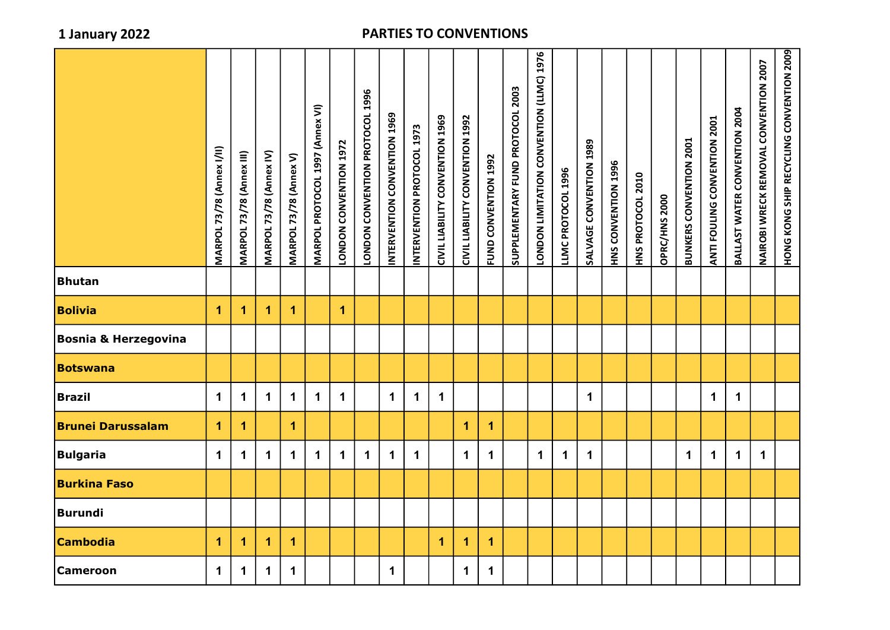|                                 | <b>MARPOL 73/78 (Annex I/II)</b> | <b>MARPOL 73/78 (Annex III)</b> | MARPOL 73/78 (Annex IV) | MARPOL 73/78 (Annex V) | MARPOL PROTOCOL 1997 (Annex VI) | LONDON CONVENTION 1972 | LONDON CONVENTION PROTOCOL 1996 | INTERVENTION CONVENTION 1969 | INTERVENTION PROTOCOL 1973 | CIVIL LIABILITY CONVENTION 1969 | CIVIL LIABILITY CONVENTION 1992 | FUND CONVENTION 1992 | SUPPLEMENTARY FUND PROTOCOL 2003 | <b>DODDON LIMITATION CONVENTION</b> (LLMC) 1976 | LLMC PROTOCOL 1996 | SALVAGE CONVENTION 1989 | HNS CONVENTION 1996 | HNS PROTOCOL 2010 | OPRC/HNS 2000 | <b>BUNKERS CONVENTION 2001</b> | ANTI FOULING CONVENTION 2001 | BALLAST WATER CONVENTION 2004 | NAIROBI WRECK REMOVAL CONVENTION 2007 | HONG KONG SHIP RECYCLING CONVENTION 2009 |
|---------------------------------|----------------------------------|---------------------------------|-------------------------|------------------------|---------------------------------|------------------------|---------------------------------|------------------------------|----------------------------|---------------------------------|---------------------------------|----------------------|----------------------------------|-------------------------------------------------|--------------------|-------------------------|---------------------|-------------------|---------------|--------------------------------|------------------------------|-------------------------------|---------------------------------------|------------------------------------------|
| <b>Bhutan</b>                   |                                  |                                 |                         |                        |                                 |                        |                                 |                              |                            |                                 |                                 |                      |                                  |                                                 |                    |                         |                     |                   |               |                                |                              |                               |                                       |                                          |
| <b>Bolivia</b>                  | $\mathbf 1$                      | 1                               | 1                       | $\blacktriangleleft$   |                                 | $\mathbf{1}$           |                                 |                              |                            |                                 |                                 |                      |                                  |                                                 |                    |                         |                     |                   |               |                                |                              |                               |                                       |                                          |
| <b>Bosnia &amp; Herzegovina</b> |                                  |                                 |                         |                        |                                 |                        |                                 |                              |                            |                                 |                                 |                      |                                  |                                                 |                    |                         |                     |                   |               |                                |                              |                               |                                       |                                          |
| <b>Botswana</b>                 |                                  |                                 |                         |                        |                                 |                        |                                 |                              |                            |                                 |                                 |                      |                                  |                                                 |                    |                         |                     |                   |               |                                |                              |                               |                                       |                                          |
| <b>Brazil</b>                   | $\mathbf 1$                      | 1                               | $\mathbf 1$             | $\mathbf 1$            | $\mathbf 1$                     | $\mathbf 1$            |                                 | $\mathbf 1$                  | $\mathbf 1$                | $\mathbf 1$                     |                                 |                      |                                  |                                                 |                    | $\mathbf 1$             |                     |                   |               |                                | $\mathbf 1$                  | $\mathbf 1$                   |                                       |                                          |
| <b>Brunei Darussalam</b>        | $\overline{1}$                   | 1                               |                         | $\blacktriangleleft$   |                                 |                        |                                 |                              |                            |                                 | $\overline{\mathbf{1}}$         | 1                    |                                  |                                                 |                    |                         |                     |                   |               |                                |                              |                               |                                       |                                          |
| <b>Bulgaria</b>                 | $\mathbf 1$                      | 1                               | $\mathbf 1$             | $\mathbf 1$            | $\mathbf 1$                     | $\mathbf 1$            | $\mathbf 1$                     | $\mathbf 1$                  | $\mathbf 1$                |                                 | $\mathbf 1$                     | $\mathbf 1$          |                                  | $\mathbf 1$                                     | $\mathbf 1$        | $\mathbf 1$             |                     |                   |               | $\mathbf 1$                    | $\mathbf 1$                  | $\mathbf 1$                   | $\mathbf 1$                           |                                          |
| <b>Burkina Faso</b>             |                                  |                                 |                         |                        |                                 |                        |                                 |                              |                            |                                 |                                 |                      |                                  |                                                 |                    |                         |                     |                   |               |                                |                              |                               |                                       |                                          |
| <b>Burundi</b>                  |                                  |                                 |                         |                        |                                 |                        |                                 |                              |                            |                                 |                                 |                      |                                  |                                                 |                    |                         |                     |                   |               |                                |                              |                               |                                       |                                          |
| <b>Cambodia</b>                 | $\mathbf{1}$                     | 1                               | 1                       | $\blacktriangleleft$   |                                 |                        |                                 |                              |                            | 1                               | 1                               | $\blacktriangleleft$ |                                  |                                                 |                    |                         |                     |                   |               |                                |                              |                               |                                       |                                          |
| <b>Cameroon</b>                 | $\mathbf 1$                      | 1                               | $\mathbf 1$             | $\mathbf 1$            |                                 |                        |                                 | $\mathbf 1$                  |                            |                                 | $\mathbf 1$                     | $\mathbf{1}$         |                                  |                                                 |                    |                         |                     |                   |               |                                |                              |                               |                                       |                                          |
|                                 |                                  |                                 |                         |                        |                                 |                        |                                 |                              |                            |                                 |                                 |                      |                                  |                                                 |                    |                         |                     |                   |               |                                |                              |                               |                                       |                                          |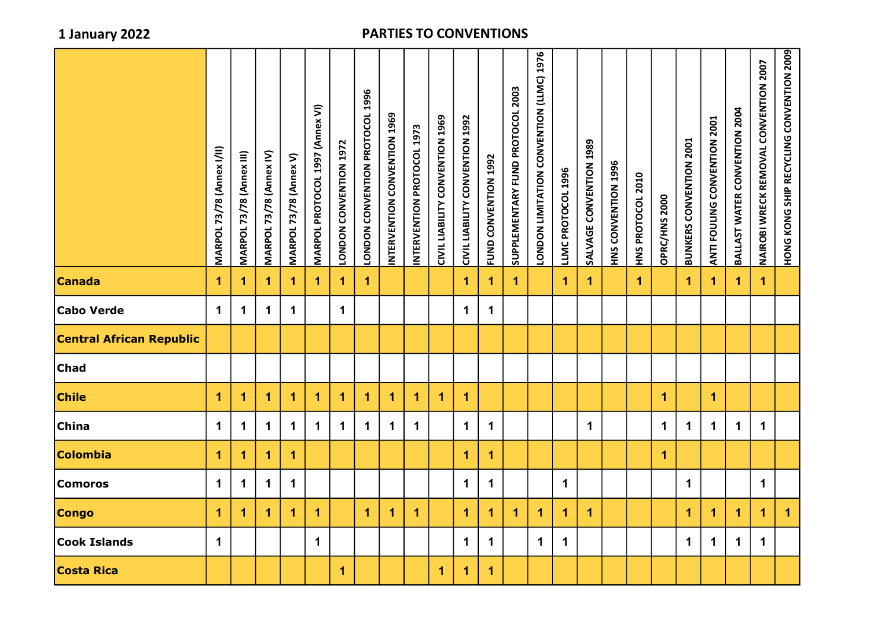|                                 | <b>MARPOL 73/78 (Annex I/II)</b> | <b>MARPOL 73/78 (Annex III)</b> | MARPOL 73/78 (Annex IV) | MARPOL 73/78 (Annex V) | MARPOL PROTOCOL 1997 (Annex VI) | LONDON CONVENTION 1972 | <b>CONDON CONVENTION PROTOCOL 1996</b> | INTERVENTION CONVENTION 1969 | INTERVENTION PROTOCOL 1973 | CIVIL LIABILITY CONVENTION 1969 | CIVIL LIABILITY CONVENTION 1992 | FUND CONVENTION 1992 | SUPPLEMENTARY FUND PROTOCOL 2003 | LONDON LIMITATION CONVENTION (LLMC) 1976 | LLMC PROTOCOL 1996   | SALVAGE CONVENTION 1989 | HNS CONVENTION 1996 | HNS PROTOCOL 2010 | OPRC/HNS 2000 | <b>BUNKERS CONVENTION 2001</b> | ANTI FOULING CONVENTION | BALLAST WATER CONVENTION 2004 | NAIROBI WRECK REMOVAL CONVENTION 2007 | HONG KONG SHIP RECYCLING CONVENTION 2009 |
|---------------------------------|----------------------------------|---------------------------------|-------------------------|------------------------|---------------------------------|------------------------|----------------------------------------|------------------------------|----------------------------|---------------------------------|---------------------------------|----------------------|----------------------------------|------------------------------------------|----------------------|-------------------------|---------------------|-------------------|---------------|--------------------------------|-------------------------|-------------------------------|---------------------------------------|------------------------------------------|
| <b>Canada</b>                   | 1                                | 1.                              | 1                       | 1                      | 1                               | $\mathbf{1}$           | $\blacktriangleleft$                   |                              |                            |                                 | $\mathbf{1}$                    | 1                    | 1                                |                                          | $\mathbf 1$          | $\mathbf 1$             |                     | $\mathbf 1$       |               | 1.                             | 1                       | $\blacktriangleleft$          | $\blacktriangleleft$                  |                                          |
| Cabo Verde                      | $\mathbf 1$                      | 1.                              | $\mathbf 1$             | $\mathbf{1}$           |                                 | $\mathbf 1$            |                                        |                              |                            |                                 | $\mathbf 1$                     | $\mathbf 1$          |                                  |                                          |                      |                         |                     |                   |               |                                |                         |                               |                                       |                                          |
| <b>Central African Republic</b> |                                  |                                 |                         |                        |                                 |                        |                                        |                              |                            |                                 |                                 |                      |                                  |                                          |                      |                         |                     |                   |               |                                |                         |                               |                                       |                                          |
| <b>Chad</b>                     |                                  |                                 |                         |                        |                                 |                        |                                        |                              |                            |                                 |                                 |                      |                                  |                                          |                      |                         |                     |                   |               |                                |                         |                               |                                       |                                          |
| <b>Chile</b>                    | $\blacktriangleleft$             | 1                               | 1                       | 1                      | 1                               | $\blacktriangleleft$   | 1                                      | 1                            | 1                          | 1                               | 1                               |                      |                                  |                                          |                      |                         |                     |                   | 1             |                                | 1                       |                               |                                       |                                          |
| China                           | $\mathbf 1$                      | $\mathbf 1$                     | $\mathbf 1$             | $\mathbf 1$            | 1                               | $\mathbf 1$            | $\blacktriangleleft$                   | $\mathbf 1$                  | $\mathbf{1}$               |                                 | $\mathbf 1$                     | $\mathbf 1$          |                                  |                                          |                      | $\mathbf 1$             |                     |                   | $\mathbf 1$   | $\mathbf 1$                    | $\mathbf 1$             | $\mathbf 1$                   | $\mathbf 1$                           |                                          |
| Colombia                        | $\blacktriangleleft$             | 1                               | 1                       | 1                      |                                 |                        |                                        |                              |                            |                                 | 1                               | 1                    |                                  |                                          |                      |                         |                     |                   | 1             |                                |                         |                               |                                       |                                          |
| <b>Comoros</b>                  | $\mathbf 1$                      | $\mathbf 1$                     | $\mathbf 1$             | $\mathbf 1$            |                                 |                        |                                        |                              |                            |                                 | $\mathbf 1$                     | $\mathbf 1$          |                                  |                                          | $\mathbf 1$          |                         |                     |                   |               | $\mathbf 1$                    |                         |                               | $\mathbf 1$                           |                                          |
| <b>Congo</b>                    | $\mathbf{1}$                     | 1                               | 1                       | 1                      | $\blacktriangleleft$            |                        | 1                                      | 1                            | $\mathbf{1}$               |                                 | $\overline{1}$                  | 1                    | $\mathbf{1}$                     | $\mathbf{1}$                             | $\blacktriangleleft$ | $\mathbf{1}$            |                     |                   |               | $\blacktriangleleft$           | $\mathbf{1}$            | $\mathbf{1}$                  | $\mathbf{1}$                          | $\mathbf{1}$                             |
| <b>Cook Islands</b>             | $\mathbf 1$                      |                                 |                         |                        | $\mathbf 1$                     |                        |                                        |                              |                            |                                 | $\mathbf 1$                     | $\mathbf 1$          |                                  | $\mathbf 1$                              | $\mathbf 1$          |                         |                     |                   |               | $\mathbf 1$                    | $\mathbf 1$             | $\mathbf 1$                   | $\mathbf 1$                           |                                          |
| <b>Costa Rica</b>               |                                  |                                 |                         |                        |                                 | 1                      |                                        |                              |                            | 1                               | 1                               | $\mathbf{1}$         |                                  |                                          |                      |                         |                     |                   |               |                                |                         |                               |                                       |                                          |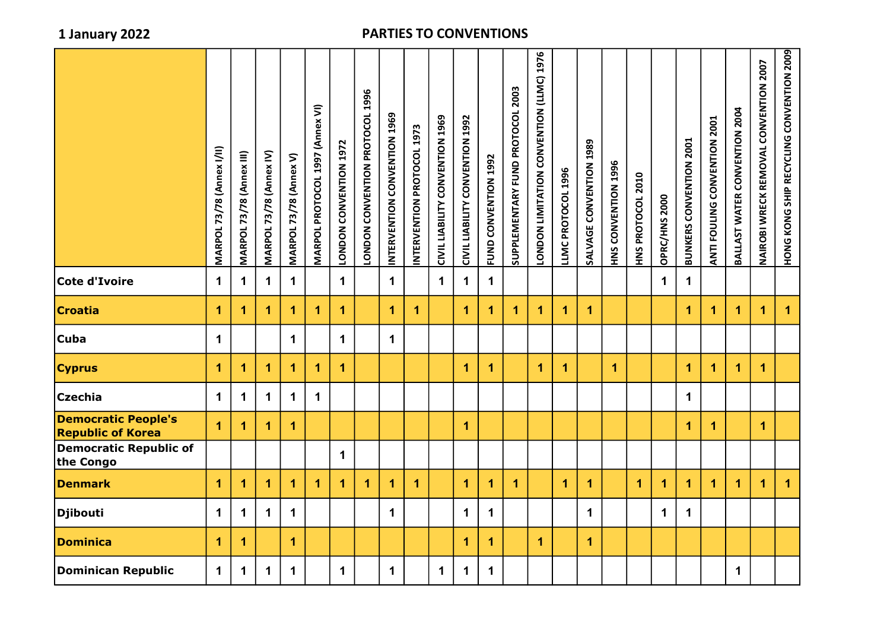|                                                        | <b>MARPOL 73/78 (Annex I/II)</b> | MARPOL 73/78 (Annex III) | MARPOL 73/78 (Annex IV) | <b>MARPOL 73/78 (Annex V)</b> | MARPOL PROTOCOL 1997 (Annex VI) | LONDON CONVENTION 1972 | LONDON CONVENTION PROTOCOL 1996 | INTERVENTION CONVENTION 1969 | INTERVEN PROTOCOLOGI | CIVIL LIABILITY CONVENTION 1969 | CIVIL LIABILITY CONVENTION 1992 | FUND CONVENTION 1992 | SUPPLEMENTARY FUND PROTOCOL 2003 | <b>DODOO CONVENTION CONTINITY OF A SAMPLE</b> | LLMC PROTOCOL 1996 | SALVAGE CONVENTION 1989 | HNS CONVENTION 1996 | HNS PROTOCOL 2010 | OPRC/HNS 2000 | <b>BUNKERS CONVENTION 2001</b> | ANTI FOULING CONVENTION 2001 | BALLAST WATER CONVENTION 2004 | NAIROBI WRECK REMOVAL CONVENTION 2007 | HONG KONG SHIP RECYCLING SHIP SATION 2009 |
|--------------------------------------------------------|----------------------------------|--------------------------|-------------------------|-------------------------------|---------------------------------|------------------------|---------------------------------|------------------------------|----------------------|---------------------------------|---------------------------------|----------------------|----------------------------------|-----------------------------------------------|--------------------|-------------------------|---------------------|-------------------|---------------|--------------------------------|------------------------------|-------------------------------|---------------------------------------|-------------------------------------------|
| Cote d'Ivoire                                          | $\mathbf 1$                      | $\mathbf 1$              | $\mathbf 1$             | $\mathbf{1}$                  |                                 | $\mathbf 1$            |                                 | $\mathbf 1$                  |                      | $\mathbf 1$                     | $\mathbf 1$                     | $\mathbf 1$          |                                  |                                               |                    |                         |                     |                   | $\mathbf 1$   | $\mathbf 1$                    |                              |                               |                                       |                                           |
| <b>Croatia</b>                                         | $\overline{1}$                   | 1                        | $\overline{1}$          | 1                             | 1                               | $\overline{1}$         |                                 | 1                            | 1                    |                                 | $\blacktriangleleft$            | $\mathbf 1$          | $\blacktriangleleft$             | 1                                             | $\mathbf{1}$       | 1                       |                     |                   |               | $\overline{1}$                 | $\mathbf{1}$                 | $\overline{1}$                | $\overline{1}$                        | $\overline{1}$                            |
| <b>Cuba</b>                                            | $\mathbf 1$                      |                          |                         | $\mathbf{1}$                  |                                 | $\mathbf 1$            |                                 | $\mathbf 1$                  |                      |                                 |                                 |                      |                                  |                                               |                    |                         |                     |                   |               |                                |                              |                               |                                       |                                           |
| <b>Cyprus</b>                                          | $\overline{1}$                   | 1                        | $\blacktriangleleft$    | 1                             | $\overline{1}$                  | $\mathbf{1}$           |                                 |                              |                      |                                 | $\blacktriangleleft$            | $\mathbf{1}$         |                                  | $\mathbf{1}$                                  | $\overline{1}$     |                         | 1.                  |                   |               | $\blacktriangleleft$           | $\mathbf{1}$                 | $\blacktriangleleft$          | $\mathbf{1}$                          |                                           |
| <b>Czechia</b>                                         | $\mathbf 1$                      | $\mathbf 1$              | $\mathbf 1$             | $\mathbf{1}$                  | $\mathbf 1$                     |                        |                                 |                              |                      |                                 |                                 |                      |                                  |                                               |                    |                         |                     |                   |               | $\mathbf 1$                    |                              |                               |                                       |                                           |
| <b>Democratic People's</b><br><b>Republic of Korea</b> | 1                                | $\blacktriangleleft$     | $\overline{\mathbf{1}}$ | $\overline{1}$                |                                 |                        |                                 |                              |                      |                                 | $\mathbf{1}$                    |                      |                                  |                                               |                    |                         |                     |                   |               | $\overline{1}$                 | $\mathbf{1}$                 |                               | $\mathbf{1}$                          |                                           |
| <b>Democratic Republic of</b><br>the Congo             |                                  |                          |                         |                               |                                 | $\mathbf 1$            |                                 |                              |                      |                                 |                                 |                      |                                  |                                               |                    |                         |                     |                   |               |                                |                              |                               |                                       |                                           |
| <b>Denmark</b>                                         | $\overline{\mathbf{1}}$          | $\blacktriangleleft$     | $\blacktriangleleft$    | $\overline{1}$                | $\overline{1}$                  | $\mathbf{1}$           | $\mathbf{1}$                    | $\overline{\mathbf{1}}$      | $\overline{1}$       |                                 | $\mathbf{1}$                    | $\blacktriangleleft$ | $\mathbf{1}$                     |                                               | $\mathbf{1}$       | 1                       |                     | $\mathbf 1$       | $\mathbf 1$   | $\overline{1}$                 | $\mathbf{1}$                 | $\mathbf{1}$                  | $\mathbf{1}$                          | $\mathbf{1}$                              |
| <b>Djibouti</b>                                        | $\mathbf 1$                      | $\mathbf 1$              | $\mathbf 1$             | $\mathbf 1$                   |                                 |                        |                                 | $\mathbf 1$                  |                      |                                 | $\mathbf{1}$                    | $\mathbf 1$          |                                  |                                               |                    | $\mathbf 1$             |                     |                   | $\mathbf 1$   | $\mathbf 1$                    |                              |                               |                                       |                                           |
| <b>Dominica</b>                                        | 1                                | 1                        |                         | $\overline{1}$                |                                 |                        |                                 |                              |                      |                                 | $\blacktriangleleft$            | $\mathbf{1}$         |                                  | $\mathbf 1$                                   |                    | $\mathbf{1}$            |                     |                   |               |                                |                              |                               |                                       |                                           |
| <b>Dominican Republic</b>                              | $\mathbf 1$                      | $\mathbf 1$              | $\mathbf 1$             | $\mathbf 1$                   |                                 | $\mathbf 1$            |                                 | $\mathbf 1$                  |                      | $\mathbf 1$                     | $\mathbf 1$                     | $\mathbf 1$          |                                  |                                               |                    |                         |                     |                   |               |                                |                              | $\mathbf 1$                   |                                       |                                           |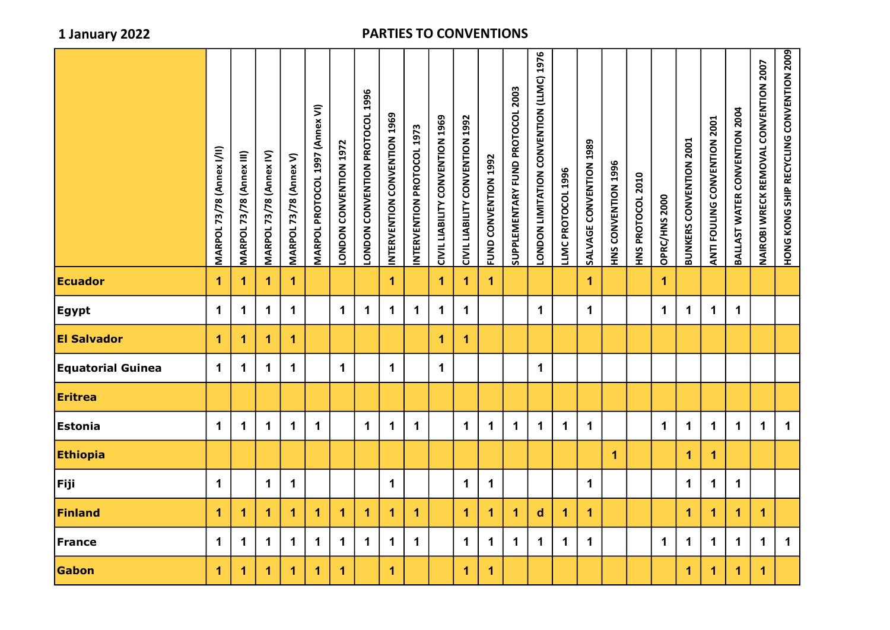|                          | <b>MARPOL 73/78 (Annex I/II)</b> | MARPOL 73/78 (Annex III) | MARPOL 73/78 (Annex IV) | MARPOL 73/78 (Annex V) | MARPOL PROTOCOL 1997 (Annex VI) | LONDON CONVENTION 1972 | LONDON CONVENTION PROTOCOL 1996 | INTERVENTION CONVENTION 1969 | INTERVENTION PROTOCOL 1973 | CIVIL LIABILITY CONVENTION 1969 | CIVIL LIABILITY CONVENTION 1992 | FUND CONVENTION 1992 | SUPPLEMENTARY FUND PROTOCOL 2003 | LONDON LIMITATION CONVENTION (LLMC) 1976 | LLMC PROTOCOL 1996 | SALVAGE CONVENTION 1989 | HNS CONVENTION 1996 | HNS PROTOCOL 2010 | OPRC/HNS 2000 | <b>BUNKERS CONVENTION 2001</b> | ANTI FOULING CONVENTION 2001 | BALLAST WATER CONVENTION 2004 | NAIROBI WRECK REMOVAL CONVENTION 2007 | HONG KONG SHIP RECYCLING CONVENTION 2009 |
|--------------------------|----------------------------------|--------------------------|-------------------------|------------------------|---------------------------------|------------------------|---------------------------------|------------------------------|----------------------------|---------------------------------|---------------------------------|----------------------|----------------------------------|------------------------------------------|--------------------|-------------------------|---------------------|-------------------|---------------|--------------------------------|------------------------------|-------------------------------|---------------------------------------|------------------------------------------|
| <b>Ecuador</b>           | 1                                | 1                        | $\mathbf 1$             | $\blacktriangleleft$   |                                 |                        |                                 | $\blacktriangleleft$         |                            | $\mathbf 1$                     | $\mathbf{1}$                    | $\blacktriangleleft$ |                                  |                                          |                    | $\mathbf 1$             |                     |                   | $\mathbf{1}$  |                                |                              |                               |                                       |                                          |
| <b>Egypt</b>             | $\mathbf 1$                      | $\mathbf 1$              | $\mathbf 1$             | $\mathbf 1$            |                                 | $\mathbf 1$            | $\mathbf 1$                     | $\mathbf 1$                  | $\mathbf 1$                | $\mathbf 1$                     | $\mathbf{1}$                    |                      |                                  | $\mathbf 1$                              |                    | $\mathbf 1$             |                     |                   | $\mathbf 1$   | $\mathbf 1$                    | $\mathbf 1$                  | $\mathbf 1$                   |                                       |                                          |
| <b>El Salvador</b>       | 1                                | 1                        | 1                       | $\blacktriangleleft$   |                                 |                        |                                 |                              |                            | $\overline{1}$                  | $\mathbf{1}$                    |                      |                                  |                                          |                    |                         |                     |                   |               |                                |                              |                               |                                       |                                          |
| <b>Equatorial Guinea</b> | $\mathbf 1$                      | $\mathbf 1$              | $\mathbf 1$             | $\mathbf 1$            |                                 | $\mathbf 1$            |                                 | $\mathbf 1$                  |                            | $\mathbf 1$                     |                                 |                      |                                  | $\mathbf 1$                              |                    |                         |                     |                   |               |                                |                              |                               |                                       |                                          |
| <b>Eritrea</b>           |                                  |                          |                         |                        |                                 |                        |                                 |                              |                            |                                 |                                 |                      |                                  |                                          |                    |                         |                     |                   |               |                                |                              |                               |                                       |                                          |
| Estonia                  | $\mathbf 1$                      | $\mathbf 1$              | $\mathbf 1$             | $\mathbf 1$            | $\mathbf 1$                     |                        | $\mathbf 1$                     | $\mathbf 1$                  | $\mathbf{1}$               |                                 | $\mathbf{1}$                    | $\mathbf 1$          | $\mathbf 1$                      | $\mathbf 1$                              | $\mathbf 1$        | $\mathbf 1$             |                     |                   | $\mathbf 1$   | $\mathbf 1$                    | $\mathbf 1$                  | $\mathbf 1$                   | $\mathbf 1$                           | $\mathbf 1$                              |
| <b>Ethiopia</b>          |                                  |                          |                         |                        |                                 |                        |                                 |                              |                            |                                 |                                 |                      |                                  |                                          |                    |                         | $\mathbf{1}$        |                   |               | $\mathbf{1}$                   | $\overline{1}$               |                               |                                       |                                          |
| Fiji                     | $\mathbf 1$                      |                          | $\mathbf 1$             | $\mathbf 1$            |                                 |                        |                                 | $\mathbf 1$                  |                            |                                 | $\mathbf 1$                     | $\mathbf 1$          |                                  |                                          |                    | $\mathbf 1$             |                     |                   |               | $\mathbf 1$                    | $\mathbf 1$                  | $\mathbf 1$                   |                                       |                                          |
| Finland                  | $\blacktriangleleft$             | 1                        | $\mathbf{1}$            | $\blacktriangleleft$   | $\blacktriangleleft$            | $\blacktriangleleft$   | $\overline{1}$                  | $\blacktriangleleft$         | $\mathbf{1}$               |                                 | $\blacktriangleleft$            | $\blacktriangleleft$ | $\blacktriangleleft$             | $\mathsf{d}$                             | 1                  | $\mathbf 1$             |                     |                   |               | $\mathbf{1}$                   | $\mathbf{1}$                 | $\blacktriangleleft$          | $\mathbf{1}$                          |                                          |
| France                   | $\mathbf 1$                      | $\mathbf 1$              | $\mathbf 1$             | $\mathbf 1$            | $\mathbf 1$                     | $\mathbf 1$            | $\mathbf 1$                     | $\mathbf 1$                  | $\mathbf 1$                |                                 | $\mathbf 1$                     | $\mathbf 1$          | $\mathbf 1$                      | $\mathbf 1$                              | $\mathbf 1$        | $\mathbf 1$             |                     |                   | $\mathbf 1$   | $\mathbf 1$                    | $\mathbf 1$                  | $\mathbf 1$                   | $\mathbf 1$                           | $\mathbf 1$                              |
| Gabon                    | 1                                | 1                        | 1                       | $\mathbf{1}$           | $\mathbf{1}$                    | $\blacktriangleleft$   |                                 | $\mathbf{1}$                 |                            |                                 | $\mathbf 1$                     | $\blacktriangleleft$ |                                  |                                          |                    |                         |                     |                   |               | $\mathbf{1}$                   | $\mathbf 1$                  | $\mathbf{1}$                  | $\blacktriangleleft$                  |                                          |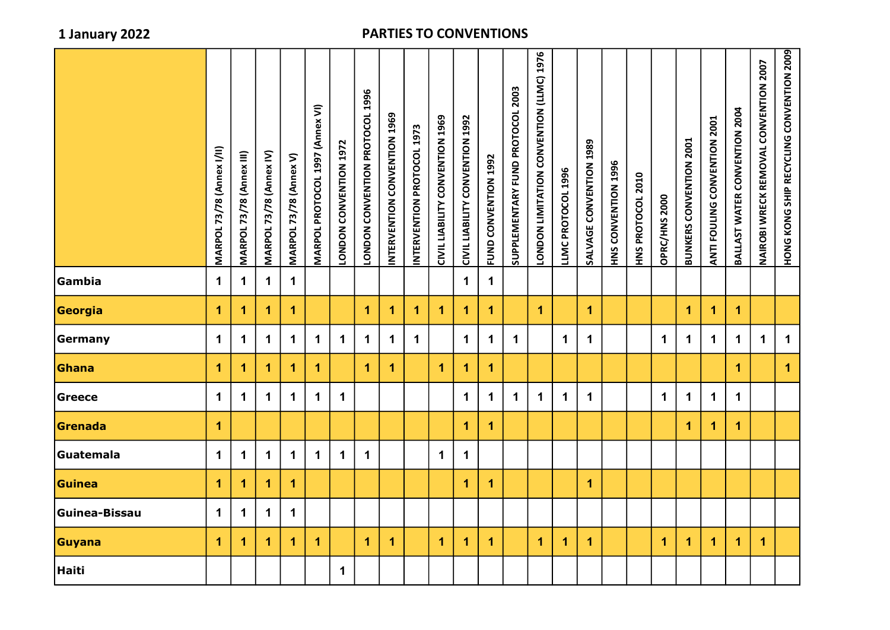|               | <b>MARPOL 73/78 (Annex I/II)</b> | MARPOL 73/78 (Annex III) | MARPOL 73/78 (Annex IV) | <b>MARPOL 73/78 (Annex V)</b> | MARPOL PROTOCOL 1997 (Annex VI) | LONDON CONVENTION 1972 | LONDON CONVENTION PROTOCOL 1996 | INTERVENTION CONVENTION 1969 | INTERVENTION PROTOCOL 1973 | <b>SOST NOILNANNOU ALITERIT TINIO</b> | CIVIL LIABILITY CONVENTION 1992 | FUND CONNENTION      | SUPPLEMENTARY FUND PROTOCOL 2003 | LONDON LIMITATION CONVENTION (LLMC) 1976 | LLMC PROTOCOL 1996 | SALVAGE CONVENTION 1989 | HNS CONVENTION 1996 | HNS PROTOCOL 2010 | OPRC/HNS 2000 | <b>BUNKERS CONVENTION 2001</b> | ANTI FOULING CONVENTION 2001 | BALLAST WATER CONVENTION 2004 | NAIROBI WRECK REMOVAL CONVENTION 2007 | HONG KONG SHIP RECYCLING CONVENTION 2009 |
|---------------|----------------------------------|--------------------------|-------------------------|-------------------------------|---------------------------------|------------------------|---------------------------------|------------------------------|----------------------------|---------------------------------------|---------------------------------|----------------------|----------------------------------|------------------------------------------|--------------------|-------------------------|---------------------|-------------------|---------------|--------------------------------|------------------------------|-------------------------------|---------------------------------------|------------------------------------------|
| Gambia        | $\mathbf 1$                      | $\mathbf 1$              | $\mathbf 1$             | $\mathbf 1$                   |                                 |                        |                                 |                              |                            |                                       | $\mathbf 1$                     | $\mathbf 1$          |                                  |                                          |                    |                         |                     |                   |               |                                |                              |                               |                                       |                                          |
| Georgia       | 1                                | 1                        | 1                       | $\mathbf{1}$                  |                                 |                        | $\mathbf{1}$                    | $\overline{1}$               | $\blacktriangleleft$       | 1                                     | $\blacktriangleleft$            | $\mathbf{1}$         |                                  | $\mathbf{1}$                             |                    | $\mathbf 1$             |                     |                   |               | $\blacktriangleleft$           | $\blacktriangleleft$         | $\overline{1}$                |                                       |                                          |
| Germany       | 1                                | 1                        | 1                       | $\mathbf 1$                   | 1                               | 1                      | $\mathbf 1$                     | 1                            | $\mathbf 1$                |                                       | 1                               | $\mathbf 1$          | $\mathbf 1$                      |                                          | $\mathbf 1$        | $\mathbf 1$             |                     |                   | $\mathbf 1$   | $\mathbf 1$                    | $\mathbf 1$                  | $\mathbf 1$                   | $\mathbf 1$                           | $\mathbf 1$                              |
| Ghana         | 1                                | $\blacktriangleleft$     | 1                       | 1                             | 1                               |                        | $\mathbf{1}$                    | $\mathbf{1}$                 |                            | 1                                     | 1                               | $\blacktriangleleft$ |                                  |                                          |                    |                         |                     |                   |               |                                |                              | $\overline{1}$                |                                       | $\overline{\mathbf{1}}$                  |
| <b>Greece</b> | 1                                | 1                        | 1                       | 1                             | $\mathbf 1$                     | $\mathbf 1$            |                                 |                              |                            |                                       | 1                               | $\mathbf 1$          | $\mathbf 1$                      | $\mathbf 1$                              | $\mathbf 1$        | $\mathbf 1$             |                     |                   | $\mathbf 1$   | $\mathbf 1$                    | $\mathbf 1$                  | $\mathbf 1$                   |                                       |                                          |
| Grenada       | $\blacktriangleleft$             |                          |                         |                               |                                 |                        |                                 |                              |                            |                                       | 1                               | $\mathbf{1}$         |                                  |                                          |                    |                         |                     |                   |               | $\overline{\mathbf{1}}$        | $\blacktriangleleft$         | $\overline{1}$                |                                       |                                          |
| Guatemala     | $\mathbf 1$                      | 1                        | 1                       | $\mathbf 1$                   | $\mathbf 1$                     | $\mathbf 1$            | $\mathbf 1$                     |                              |                            | $\mathbf 1$                           | $\mathbf 1$                     |                      |                                  |                                          |                    |                         |                     |                   |               |                                |                              |                               |                                       |                                          |
| Guinea        | 1                                | 1                        | 1                       | $\mathbf{1}$                  |                                 |                        |                                 |                              |                            |                                       | 1                               | $\mathbf{1}$         |                                  |                                          |                    | $\mathbf 1$             |                     |                   |               |                                |                              |                               |                                       |                                          |
| Guinea-Bissau | $\mathbf 1$                      | 1                        | 1                       | $\mathbf 1$                   |                                 |                        |                                 |                              |                            |                                       |                                 |                      |                                  |                                          |                    |                         |                     |                   |               |                                |                              |                               |                                       |                                          |
| Guyana        | 1                                | 1                        | 1                       | $\overline{1}$                | 1                               |                        | $\mathbf 1$                     | $\overline{1}$               |                            | $\overline{1}$                        | 1                               | $\blacktriangleleft$ |                                  | 1                                        | 1                  | $\mathbf 1$             |                     |                   | 1             | 1                              | 1                            | 1                             | $\overline{1}$                        |                                          |
| Haiti         |                                  |                          |                         |                               |                                 | $\mathbf 1$            |                                 |                              |                            |                                       |                                 |                      |                                  |                                          |                    |                         |                     |                   |               |                                |                              |                               |                                       |                                          |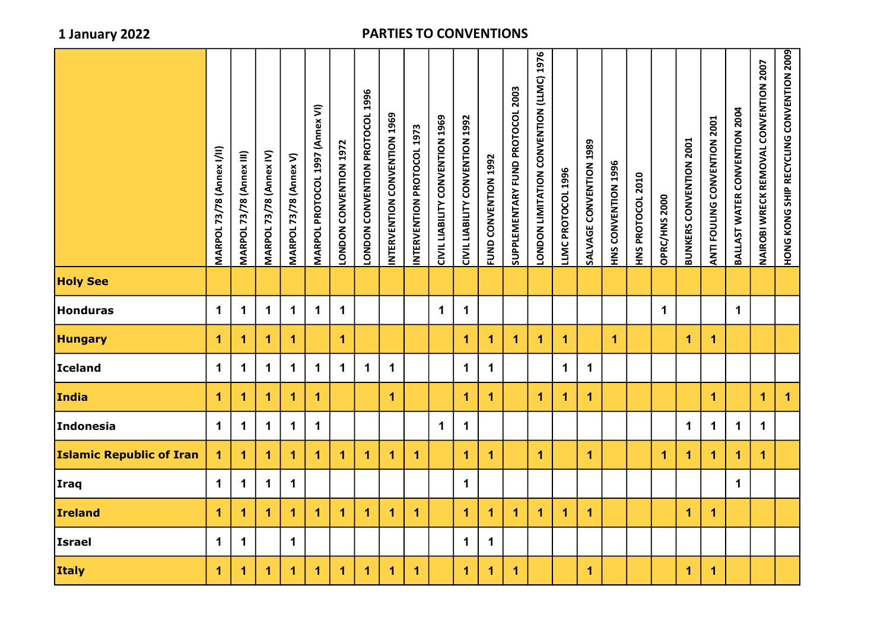|                                 | <b>MARPOL 73/78 (Annex I/II)</b> | <b>MARPOL 73/78 (Annex III)</b> | MARPOL 73/78 (Annex IV) | <b>MARPOL 73/78 (Annex V)</b> | MARPOL PROTOCOL 1997 (Annex VI) | <b>CODDO ZOONSOO ZOONDI</b> | LONDON CONVENTION PROTOCOL 1996 | INTERVENTION CONVENTION 1969 | INTERVENTION PROTOCOL 1973 | CIVIL LIABILITY CONVENTION 1969 | CIVIL LIABILITY CONVENTION 1992 | FUND CONVENTION 1992 | SUPPLEMENTARY FUND PROTOCOL 2003 | LONDON LIMITATION CONVENTION (LLMC) 1976 | LLMC PROTOCOL 1996   | SALVAGE CONVENTION 1989 | <b>HNS CONVENTION 1996</b> | HNS PROTOCOL 2010 | OPRC/HNS 2000 | <b>BUNKERS CONVENTION 2001</b> | ANTI FOULING CONVENTION 2001 | BALLAST WATER CONVENTION 2004 | NAIROBI WRECK REMOVAL CONVENTION 2007 | HONG KONG SHIP RECYCLING CONVENTION 2009 |
|---------------------------------|----------------------------------|---------------------------------|-------------------------|-------------------------------|---------------------------------|-----------------------------|---------------------------------|------------------------------|----------------------------|---------------------------------|---------------------------------|----------------------|----------------------------------|------------------------------------------|----------------------|-------------------------|----------------------------|-------------------|---------------|--------------------------------|------------------------------|-------------------------------|---------------------------------------|------------------------------------------|
| <b>Holy See</b>                 |                                  |                                 |                         |                               |                                 |                             |                                 |                              |                            |                                 |                                 |                      |                                  |                                          |                      |                         |                            |                   |               |                                |                              |                               |                                       |                                          |
| <b>Honduras</b>                 | $\mathbf 1$                      | $\mathbf 1$                     | $\mathbf 1$             | $\mathbf 1$                   | $\mathbf 1$                     | $\mathbf 1$                 |                                 |                              |                            | $\mathbf 1$                     | $\mathbf 1$                     |                      |                                  |                                          |                      |                         |                            |                   | $\mathbf 1$   |                                |                              | $\mathbf 1$                   |                                       |                                          |
| <b>Hungary</b>                  | $\mathbf{1}$                     | 1                               | 1                       | $\mathbf 1$                   |                                 | $\blacktriangleleft$        |                                 |                              |                            |                                 | 1                               | $\blacktriangleleft$ | $\blacktriangleleft$             | $\blacktriangleleft$                     | $\blacktriangleleft$ |                         | $\mathbf 1$                |                   |               | 1                              | 1                            |                               |                                       |                                          |
| <b>Iceland</b>                  | $\mathbf 1$                      | $\mathbf 1$                     | $\mathbf 1$             | $\mathbf 1$                   | $\mathbf 1$                     | $\mathbf 1$                 | $\mathbf{1}$                    | $\mathbf{1}$                 |                            |                                 | $\mathbf 1$                     | $\mathbf 1$          |                                  |                                          | $\mathbf 1$          | $\mathbf 1$             |                            |                   |               |                                |                              |                               |                                       |                                          |
| India                           | $\mathbf{1}$                     | 1                               | 1                       | $\mathbf 1$                   | $\blacktriangleleft$            |                             |                                 | $\overline{1}$               |                            |                                 | 1                               | $\blacktriangleleft$ |                                  | $\blacktriangleleft$                     | $\blacktriangleleft$ | $\mathbf{1}$            |                            |                   |               |                                | $\overline{1}$               |                               | $\mathbf 1$                           | $\mathbf{1}$                             |
| Indonesia                       | $\mathbf 1$                      | $\mathbf 1$                     | $\mathbf 1$             | $\mathbf 1$                   | $\mathbf 1$                     |                             |                                 |                              |                            | $\mathbf 1$                     | $\mathbf 1$                     |                      |                                  |                                          |                      |                         |                            |                   |               | $\mathbf 1$                    | $\mathbf 1$                  | $\mathbf 1$                   | $\mathbf 1$                           |                                          |
| <b>Islamic Republic of Iran</b> | $\mathbf{1}$                     | 1                               | 1                       | $\mathbf 1$                   | $\blacktriangleleft$            | $\blacktriangleleft$        | $\mathbf{1}$                    | $\blacktriangleleft$         | $\mathbf{1}$               |                                 | 1                               | $\blacktriangleleft$ |                                  | $\mathbf{1}$                             |                      | $\mathbf 1$             |                            |                   | $\mathbf{1}$  | $\mathbf{1}$                   | $\overline{1}$               | $\mathbf{1}$                  | $\overline{1}$                        |                                          |
| <b>Iraq</b>                     | $\mathbf 1$                      | $\mathbf 1$                     | $\mathbf 1$             | $\mathbf 1$                   |                                 |                             |                                 |                              |                            |                                 | $\mathbf 1$                     |                      |                                  |                                          |                      |                         |                            |                   |               |                                |                              | $\mathbf 1$                   |                                       |                                          |
| <b>Ireland</b>                  | $\mathbf 1$                      | 1                               | $\overline{1}$          | $\blacktriangleleft$          | $\mathbf{1}$                    | $\blacktriangleleft$        | $\mathbf{1}$                    | $\overline{1}$               | $\mathbf{1}$               |                                 | $\overline{1}$                  | $\blacktriangleleft$ | $\mathbf{1}$                     | $\mathbf{1}$                             | $\blacktriangleleft$ | $\mathbf{1}$            |                            |                   |               | $\mathbf{1}$                   | $\mathbf{1}$                 |                               |                                       |                                          |
| <b>Israel</b>                   | $\mathbf 1$                      | $\mathbf 1$                     |                         | $\mathbf 1$                   |                                 |                             |                                 |                              |                            |                                 | $\mathbf 1$                     | $\mathbf 1$          |                                  |                                          |                      |                         |                            |                   |               |                                |                              |                               |                                       |                                          |
| <b>Italy</b>                    | 1                                | 1                               | 1                       | $\blacktriangleleft$          | $\mathbf{1}$                    | $\blacktriangleleft$        | $\overline{1}$                  | $\overline{1}$               | $\overline{1}$             |                                 | $\blacktriangleleft$            | $\blacktriangleleft$ | $\mathbf{1}$                     |                                          |                      | $\mathbf{1}$            |                            |                   |               | $\mathbf{1}$                   | $\overline{1}$               |                               |                                       |                                          |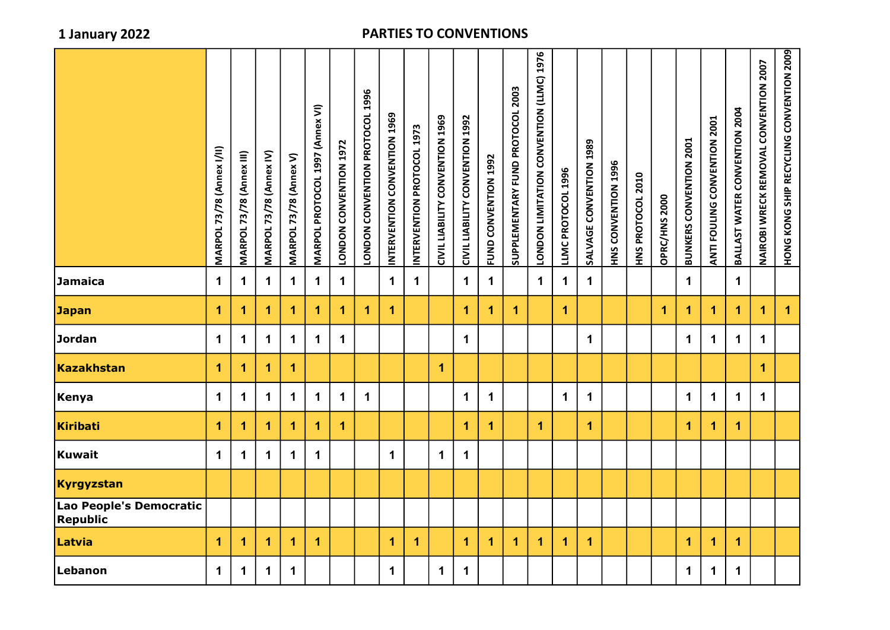| $\mathbf 1$<br>$\mathbf 1$<br>Jamaica<br>$\mathbf 1$<br>$\mathbf 1$<br>$\mathbf 1$<br>$\mathbf 1$<br>$\mathbf 1$<br>$\mathbf{1}$<br>$\mathbf 1$<br>$\mathbf 1$<br>$\mathbf 1$<br>$\mathbf 1$<br>$\mathbf 1$<br>$\mathbf 1$<br>$\mathbf 1$<br><b>Japan</b><br>$\mathbf{1}$<br>$\blacktriangleleft$<br>1<br>1<br>$\overline{1}$<br>$\blacktriangleleft$<br>$\blacktriangleleft$<br>$\blacktriangleleft$<br>$\mathbf{1}$<br>$\blacktriangleleft$<br>$\blacktriangleleft$<br>1<br>1<br>1<br>1<br>1<br>1.<br>Jordan<br>$\mathbf 1$<br>$\mathbf 1$<br>$\mathbf 1$<br>$\mathbf 1$<br>$\mathbf 1$<br>$\mathbf 1$<br>$\mathbf 1$<br>$\mathbf 1$<br>$\mathbf 1$<br>$\mathbf 1$<br>$\mathbf 1$<br>$\mathbf 1$<br>Kazakhstan<br>$\mathbf{1}$<br>$\mathbf{1}$<br>$\overline{1}$<br>$\mathbf 1$<br>1<br>1<br>$\mathbf 1$<br>$\mathbf 1$<br>$\mathbf 1$<br>$\mathbf 1$<br>$\blacktriangleleft$<br>$\mathbf 1$<br>$\mathbf 1$<br>$\mathbf 1$<br>$\mathbf 1$<br>$\mathbf 1$<br>$\mathbf 1$<br>$\mathbf 1$<br>$\mathbf 1$<br>$\mathbf 1$<br>$\mathbf 1$<br>Kiribati<br>$\overline{1}$<br>$\mathbf 1$<br>$\mathbf{1}$<br>$\mathbf 1$<br>1<br>$\blacktriangleleft$<br>$\blacktriangleleft$<br>$\mathbf{1}$<br>$\mathbf{1}$<br>1<br>1<br>1<br>1<br>Kuwait<br>$\mathbf 1$<br>$\mathbf{1}$<br>$\mathbf 1$<br>$\mathbf 1$<br>$\mathbf 1$<br>$\mathbf 1$<br>$\mathbf 1$<br>$\mathbf 1$<br>$\mathbf{1}$<br>$\blacktriangleleft$<br>1<br>1<br>1<br>$\blacktriangleleft$<br>1<br>$\blacktriangleleft$<br>$\mathbf{1}$<br>$\blacktriangleleft$<br>$\mathbf{1}$<br>$\mathbf{1}$<br>$\mathbf{1}$<br>$\mathbf{1}$<br>1<br>1<br>Lebanon<br>$\mathbf 1$<br>$\mathbf 1$<br>$\mathbf 1$<br>$\mathbf 1$<br>$\mathbf 1$<br>$\mathbf 1$<br>$\mathbf 1$<br>$\mathbf 1$<br>$\mathbf 1$<br>$\mathbf 1$ | <b>MARPOL 73/78 (Annex I/II)</b> | <b>MARPOL 73/78 (Annex III)</b> | MARPOL 73/78 (Annex IV) | MARPOL 73/78 (Annex V) | MARPOL PROTOCOL 1997 (Annex VI) | LONDON CONVENTION 1972 | LONDON CONVENTION PROTOCOL 1996 | <b>696T NOILNINNOU NOILNNAME</b> | INTERVENTION PROTOCOL 1973 | CIVIL LIABILITY CONVENTION 1969 | CIVIL LIABILITY CONVENTION 1992 | NOGT NOILNNNOU QNDH | SUPPLEMENTARY FUND PROTOCOL 2003 | <b>9261 (UNII) NOILNINNO NOILALINII NONDOI</b> | LLMC PROTOCOL 1996 | SALVAGE CONVENTION 1989 | HNS CONVENTION 1996 | HNS PROTOCOL 2010 | OPRC/HNS 2000 | <b>BUNKERS CONVENTION 2001</b> | ANTI FOULING CONVENTION 2001 | BALLAST WATER CONVENTION 2004 | NAIROBI WRECK REMOVAL CONVENTION 2007 | HONG KONG SHIP RECYCLING CONVENTION 2009 |
|--------------------------------------------------------------------------------------------------------------------------------------------------------------------------------------------------------------------------------------------------------------------------------------------------------------------------------------------------------------------------------------------------------------------------------------------------------------------------------------------------------------------------------------------------------------------------------------------------------------------------------------------------------------------------------------------------------------------------------------------------------------------------------------------------------------------------------------------------------------------------------------------------------------------------------------------------------------------------------------------------------------------------------------------------------------------------------------------------------------------------------------------------------------------------------------------------------------------------------------------------------------------------------------------------------------------------------------------------------------------------------------------------------------------------------------------------------------------------------------------------------------------------------------------------------------------------------------------------------------------------------------------------------------------------------------------------------------------------------------------------------------|----------------------------------|---------------------------------|-------------------------|------------------------|---------------------------------|------------------------|---------------------------------|----------------------------------|----------------------------|---------------------------------|---------------------------------|---------------------|----------------------------------|------------------------------------------------|--------------------|-------------------------|---------------------|-------------------|---------------|--------------------------------|------------------------------|-------------------------------|---------------------------------------|------------------------------------------|
|                                                                                                                                                                                                                                                                                                                                                                                                                                                                                                                                                                                                                                                                                                                                                                                                                                                                                                                                                                                                                                                                                                                                                                                                                                                                                                                                                                                                                                                                                                                                                                                                                                                                                                                                                              |                                  |                                 |                         |                        |                                 |                        |                                 |                                  |                            |                                 |                                 |                     |                                  |                                                |                    |                         |                     |                   |               |                                |                              |                               |                                       |                                          |
| Kenya                                                                                                                                                                                                                                                                                                                                                                                                                                                                                                                                                                                                                                                                                                                                                                                                                                                                                                                                                                                                                                                                                                                                                                                                                                                                                                                                                                                                                                                                                                                                                                                                                                                                                                                                                        |                                  |                                 |                         |                        |                                 |                        |                                 |                                  |                            |                                 |                                 |                     |                                  |                                                |                    |                         |                     |                   |               |                                |                              |                               |                                       | $\mathbf{1}$                             |
| Kyrgyzstan<br>Lao People's Democratic<br>Republic                                                                                                                                                                                                                                                                                                                                                                                                                                                                                                                                                                                                                                                                                                                                                                                                                                                                                                                                                                                                                                                                                                                                                                                                                                                                                                                                                                                                                                                                                                                                                                                                                                                                                                            |                                  |                                 |                         |                        |                                 |                        |                                 |                                  |                            |                                 |                                 |                     |                                  |                                                |                    |                         |                     |                   |               |                                |                              |                               |                                       |                                          |
|                                                                                                                                                                                                                                                                                                                                                                                                                                                                                                                                                                                                                                                                                                                                                                                                                                                                                                                                                                                                                                                                                                                                                                                                                                                                                                                                                                                                                                                                                                                                                                                                                                                                                                                                                              |                                  |                                 |                         |                        |                                 |                        |                                 |                                  |                            |                                 |                                 |                     |                                  |                                                |                    |                         |                     |                   |               |                                |                              |                               |                                       |                                          |
|                                                                                                                                                                                                                                                                                                                                                                                                                                                                                                                                                                                                                                                                                                                                                                                                                                                                                                                                                                                                                                                                                                                                                                                                                                                                                                                                                                                                                                                                                                                                                                                                                                                                                                                                                              |                                  |                                 |                         |                        |                                 |                        |                                 |                                  |                            |                                 |                                 |                     |                                  |                                                |                    |                         |                     |                   |               |                                |                              |                               |                                       |                                          |
|                                                                                                                                                                                                                                                                                                                                                                                                                                                                                                                                                                                                                                                                                                                                                                                                                                                                                                                                                                                                                                                                                                                                                                                                                                                                                                                                                                                                                                                                                                                                                                                                                                                                                                                                                              |                                  |                                 |                         |                        |                                 |                        |                                 |                                  |                            |                                 |                                 |                     |                                  |                                                |                    |                         |                     |                   |               |                                |                              |                               |                                       |                                          |
| Latvia                                                                                                                                                                                                                                                                                                                                                                                                                                                                                                                                                                                                                                                                                                                                                                                                                                                                                                                                                                                                                                                                                                                                                                                                                                                                                                                                                                                                                                                                                                                                                                                                                                                                                                                                                       |                                  |                                 |                         |                        |                                 |                        |                                 |                                  |                            |                                 |                                 |                     |                                  |                                                |                    |                         |                     |                   |               |                                |                              |                               |                                       |                                          |
|                                                                                                                                                                                                                                                                                                                                                                                                                                                                                                                                                                                                                                                                                                                                                                                                                                                                                                                                                                                                                                                                                                                                                                                                                                                                                                                                                                                                                                                                                                                                                                                                                                                                                                                                                              |                                  |                                 |                         |                        |                                 |                        |                                 |                                  |                            |                                 |                                 |                     |                                  |                                                |                    |                         |                     |                   |               |                                |                              |                               |                                       |                                          |
|                                                                                                                                                                                                                                                                                                                                                                                                                                                                                                                                                                                                                                                                                                                                                                                                                                                                                                                                                                                                                                                                                                                                                                                                                                                                                                                                                                                                                                                                                                                                                                                                                                                                                                                                                              |                                  |                                 |                         |                        |                                 |                        |                                 |                                  |                            |                                 |                                 |                     |                                  |                                                |                    |                         |                     |                   |               |                                |                              |                               |                                       |                                          |
|                                                                                                                                                                                                                                                                                                                                                                                                                                                                                                                                                                                                                                                                                                                                                                                                                                                                                                                                                                                                                                                                                                                                                                                                                                                                                                                                                                                                                                                                                                                                                                                                                                                                                                                                                              |                                  |                                 |                         |                        |                                 |                        |                                 |                                  |                            |                                 |                                 |                     |                                  |                                                |                    |                         |                     |                   |               |                                |                              |                               |                                       |                                          |
|                                                                                                                                                                                                                                                                                                                                                                                                                                                                                                                                                                                                                                                                                                                                                                                                                                                                                                                                                                                                                                                                                                                                                                                                                                                                                                                                                                                                                                                                                                                                                                                                                                                                                                                                                              |                                  |                                 |                         |                        |                                 |                        |                                 |                                  |                            |                                 |                                 |                     |                                  |                                                |                    |                         |                     |                   |               |                                |                              |                               |                                       |                                          |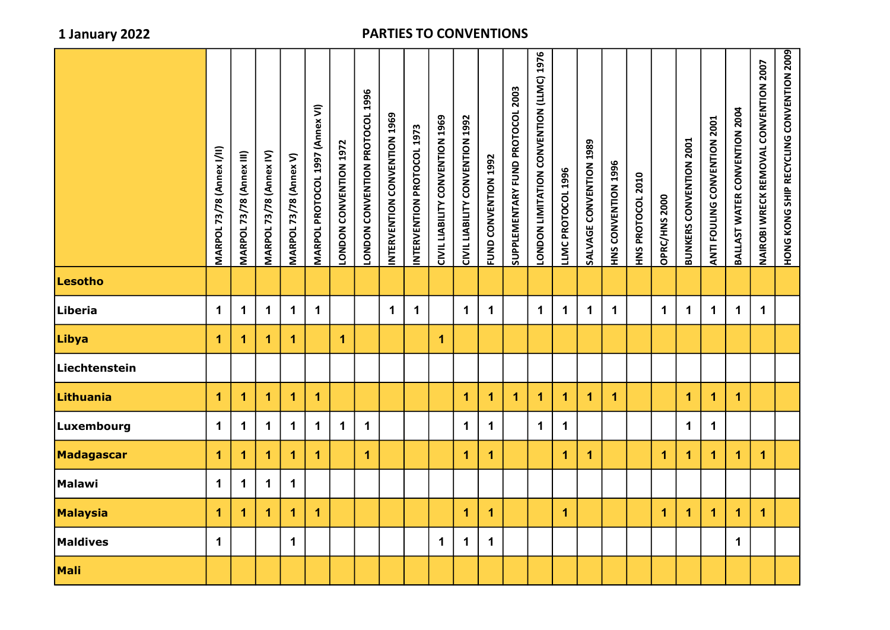|                 | <b>MARPOL 73/78 (Annex I/II)</b> | <b>MARPOL 73/78 (Annex III)</b> | <b>MARPOL 73/78 (Annex IV)</b> | <b>MARPOL 73/78 (Annex V)</b> | MARPOL PROTOCOL 1997 (Annex VI) | LONDON CONVENTION 1972 | LONDON CONVENTION PROTOCOL 1996 | INTERVENTION CONVENTION 1969 | INTERVENTION PROTOCOL 1973 | CIVIL LIABILITY CONVENTION 1969 | CIVIL LIABILITY CONVENTION 1992 | FUND CONVENTION 1992 | SUPPLEMENTARY FUND PROTOCOL 2003 | LONDON LIMITATION CONVENTION (LLMC) 1976 | LLMC PROTOCOL 1996   | SALVAGE CONVENTION 1989 | <b>HNS CONVENTION 1996</b> | HNS PROTOCOL 2010 | OPRC/HNS 2000 | <b>BUNKERS CONVENTION 2001</b> | ANTI FOULING CONVENTION 2001 | BALLAST WATER CONVENTION 2004 | NAIROBI WRECK REMOVAL CONVENTION 2007 | HONG KONG SHIP RECYCLING CONVENTION 2009 |
|-----------------|----------------------------------|---------------------------------|--------------------------------|-------------------------------|---------------------------------|------------------------|---------------------------------|------------------------------|----------------------------|---------------------------------|---------------------------------|----------------------|----------------------------------|------------------------------------------|----------------------|-------------------------|----------------------------|-------------------|---------------|--------------------------------|------------------------------|-------------------------------|---------------------------------------|------------------------------------------|
| Lesotho         |                                  |                                 |                                |                               |                                 |                        |                                 |                              |                            |                                 |                                 |                      |                                  |                                          |                      |                         |                            |                   |               |                                |                              |                               |                                       |                                          |
| Liberia         | $\mathbf 1$                      | $\mathbf 1$                     | $\mathbf 1$                    | $\mathbf 1$                   | $\mathbf 1$                     |                        |                                 | $\mathbf 1$                  | $\mathbf 1$                |                                 | $\mathbf 1$                     | $\mathbf 1$          |                                  | $\mathbf 1$                              | $\mathbf 1$          | $\mathbf 1$             | $\mathbf 1$                |                   | $\mathbf 1$   | $\mathbf 1$                    | $\mathbf 1$                  | $\mathbf 1$                   | $\mathbf{1}$                          |                                          |
| Libya           | $\blacktriangleleft$             | 1                               | 1                              | 1                             |                                 | 1                      |                                 |                              |                            | $\mathbf{1}$                    |                                 |                      |                                  |                                          |                      |                         |                            |                   |               |                                |                              |                               |                                       |                                          |
| Liechtenstein   |                                  |                                 |                                |                               |                                 |                        |                                 |                              |                            |                                 |                                 |                      |                                  |                                          |                      |                         |                            |                   |               |                                |                              |                               |                                       |                                          |
| Lithuania       | $\mathbf{1}$                     | 1                               | 1                              | 1                             | $\mathbf{1}$                    |                        |                                 |                              |                            |                                 | 1                               | 1                    | $\blacktriangleleft$             | $\mathbf{1}$                             | $\blacktriangleleft$ | $\mathbf{1}$            | $\mathbf{1}$               |                   |               | $\mathbf{1}$                   | $\mathbf 1$                  | $\mathbf 1$                   |                                       |                                          |
| Luxembourg      | $\mathbf 1$                      | $\mathbf 1$                     | $\mathbf 1$                    | $\mathbf 1$                   | $\mathbf 1$                     | $\mathbf 1$            | $\blacktriangleleft$            |                              |                            |                                 | $\mathbf 1$                     | $\mathbf 1$          |                                  | $\mathbf 1$                              | $\mathbf 1$          |                         |                            |                   |               | $\mathbf 1$                    | $\mathbf 1$                  |                               |                                       |                                          |
| Madagascar      | $\blacktriangleleft$             | 1                               | 1                              | 1                             | $\blacktriangleleft$            |                        | $\blacktriangleleft$            |                              |                            |                                 | $\blacktriangleleft$            | 1                    |                                  |                                          | $\mathbf{1}$         | $\blacktriangleleft$    |                            |                   | $\mathbf{1}$  | $\mathbf{1}$                   | $\mathbf{1}$                 | $\mathbf{1}$                  | $\blacktriangleleft$                  |                                          |
| Malawi          | $\mathbf 1$                      | $\mathbf 1$                     | $\mathbf 1$                    | $\mathbf 1$                   |                                 |                        |                                 |                              |                            |                                 |                                 |                      |                                  |                                          |                      |                         |                            |                   |               |                                |                              |                               |                                       |                                          |
| <b>Malaysia</b> | $\mathbf{1}$                     | 1                               | 1                              | 1                             | $\blacktriangleleft$            |                        |                                 |                              |                            |                                 | 1                               | 1                    |                                  |                                          | $\mathbf{1}$         |                         |                            |                   | $\mathbf{1}$  | $\blacktriangleleft$           | $\mathbf{1}$                 | $\mathbf{1}$                  | $\mathbf{1}$                          |                                          |
| <b>Maldives</b> | $\mathbf 1$                      |                                 |                                | $\mathbf 1$                   |                                 |                        |                                 |                              |                            | $\mathbf 1$                     | $\mathbf 1$                     | $\mathbf 1$          |                                  |                                          |                      |                         |                            |                   |               |                                |                              | $\mathbf 1$                   |                                       |                                          |
| Mali            |                                  |                                 |                                |                               |                                 |                        |                                 |                              |                            |                                 |                                 |                      |                                  |                                          |                      |                         |                            |                   |               |                                |                              |                               |                                       |                                          |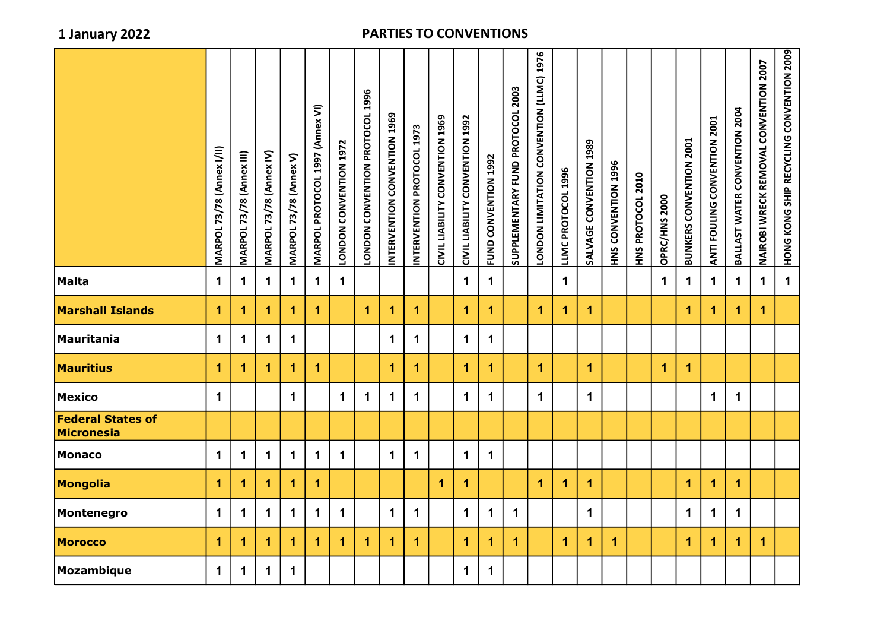|                                        | <b>MARPOL 73/78 (Annex I/II)</b> | MARPOL 73/78 (Annex III) | MARPOL 73/78 (Annex IV) | <b>MARPOL 73/78 (Annex V)</b> | MARPOL PROTOCOL 1997 (Annex VI) | LONDON CONVENTION 1972 | LONDON CONVENTION PROTOCOL 1996 | INTERVENTION CONVENTION 1969 | INTERVENTION PROTOCOL 1973 | CIVILIABILIY CONVENTION 1969 | CIVIL LIABILITY CONVENTION 1992 | FUND CONVENTION 1992 | SUPPLEMENTARY FUND PROTOCOL 2003 | <b>9267 CINTINENSION SOLITINIT NODNOI</b> | LLMC PROTOCOL 1996 | SALVAGE CONVENTION 1989 | HNS CONVENTION 1996 | HNS PROTOCOL 2010 | OPRC/HNS 2000 | <b>BUNKERS CONVENTION 2001</b> | ANTI FOULING CONVENTION 2001 | BALLAST WATER CONVENTION 2004 | NAIROBI WRECK REMOVAL CONVENTION 2007 | <b>HONG KONG SHIP RECYCLING SHIP SOND 2009</b> |
|----------------------------------------|----------------------------------|--------------------------|-------------------------|-------------------------------|---------------------------------|------------------------|---------------------------------|------------------------------|----------------------------|------------------------------|---------------------------------|----------------------|----------------------------------|-------------------------------------------|--------------------|-------------------------|---------------------|-------------------|---------------|--------------------------------|------------------------------|-------------------------------|---------------------------------------|------------------------------------------------|
| <b>Malta</b>                           | $\mathbf 1$                      | 1                        | $\mathbf 1$             | $\mathbf 1$                   | $\mathbf 1$                     | $\mathbf 1$            |                                 |                              |                            |                              | $\mathbf 1$                     | $\mathbf 1$          |                                  |                                           | $\mathbf 1$        |                         |                     |                   | $\mathbf 1$   | $\mathbf 1$                    | $\mathbf 1$                  | $\mathbf 1$                   | $\mathbf 1$                           | $\mathbf 1$                                    |
| <b>Marshall Islands</b>                | 1                                | 1                        | 1                       | $\blacktriangleleft$          | $\overline{1}$                  |                        | $\overline{1}$                  | 1                            | $\blacktriangleleft$       |                              | 1                               | $\mathbf{1}$         |                                  | $\mathbf{1}$                              | 1                  | $\mathbf 1$             |                     |                   |               | $\overline{1}$                 | $\mathbf 1$                  | $\overline{1}$                | $\overline{1}$                        |                                                |
| Mauritania                             | 1                                | 1                        | 1                       | $\mathbf 1$                   |                                 |                        |                                 | $\mathbf 1$                  | $\mathbf 1$                |                              | 1                               | $\mathbf 1$          |                                  |                                           |                    |                         |                     |                   |               |                                |                              |                               |                                       |                                                |
| <b>Mauritius</b>                       | 1                                | $\blacktriangleleft$     | 1                       | $\overline{1}$                | 1                               |                        |                                 | 1                            | 1                          |                              | 1                               | $\blacktriangleleft$ |                                  | $\mathbf{1}$                              |                    | 1                       |                     |                   | 1             | $\overline{1}$                 |                              |                               |                                       |                                                |
| <b>Mexico</b>                          | $\mathbf{1}$                     |                          |                         | $\mathbf 1$                   |                                 | $\mathbf{1}$           | $\mathbf{1}$                    | $\mathbf{1}$                 | $\mathbf 1$                |                              | 1                               | $\mathbf 1$          |                                  | $\mathbf 1$                               |                    | $\mathbf 1$             |                     |                   |               |                                | $\mathbf 1$                  | $\mathbf 1$                   |                                       |                                                |
| <b>Federal States of</b><br>Micronesia |                                  |                          |                         |                               |                                 |                        |                                 |                              |                            |                              |                                 |                      |                                  |                                           |                    |                         |                     |                   |               |                                |                              |                               |                                       |                                                |
| <b>Monaco</b>                          | $\mathbf 1$                      | 1                        | 1                       | $\mathbf 1$                   | $\mathbf 1$                     | $\mathbf 1$            |                                 | $\mathbf{1}$                 | $\mathbf 1$                |                              | 1                               | $\mathbf 1$          |                                  |                                           |                    |                         |                     |                   |               |                                |                              |                               |                                       |                                                |
| Mongolia                               | 1                                | 1                        | 1                       | 1                             | 1                               |                        |                                 |                              |                            | 1                            | 1                               |                      |                                  | 1                                         | 1                  | 1                       |                     |                   |               | $\mathbf{1}$                   | $\mathbf{1}$                 | $\mathbf{1}$                  |                                       |                                                |
| Montenegro                             | $\mathbf 1$                      | 1                        | $\mathbf 1$             | $\mathbf 1$                   | $\mathbf 1$                     | $\mathbf 1$            |                                 | $\mathbf 1$                  | $\mathbf 1$                |                              | $\mathbf 1$                     | $\mathbf 1$          | $\mathbf 1$                      |                                           |                    | $\mathbf 1$             |                     |                   |               | $\mathbf 1$                    | $\mathbf 1$                  | $\mathbf 1$                   |                                       |                                                |
| <b>Morocco</b>                         | 1                                | 1                        | 1                       | 1                             | 1                               | 1                      | 1                               | 1                            | 1                          |                              | 1                               | $\mathbf{1}$         | $\mathbf 1$                      |                                           | $\mathbf 1$        | $\mathbf 1$             | $\mathbf{1}$        |                   |               | $\overline{1}$                 | $\mathbf 1$                  | $\overline{1}$                | $\overline{1}$                        |                                                |
| Mozambique                             | $\mathbf 1$                      | $\mathbf 1$              | $\mathbf 1$             | $\mathbf{1}$                  |                                 |                        |                                 |                              |                            |                              | $\mathbf 1$                     | $\mathbf 1$          |                                  |                                           |                    |                         |                     |                   |               |                                |                              |                               |                                       |                                                |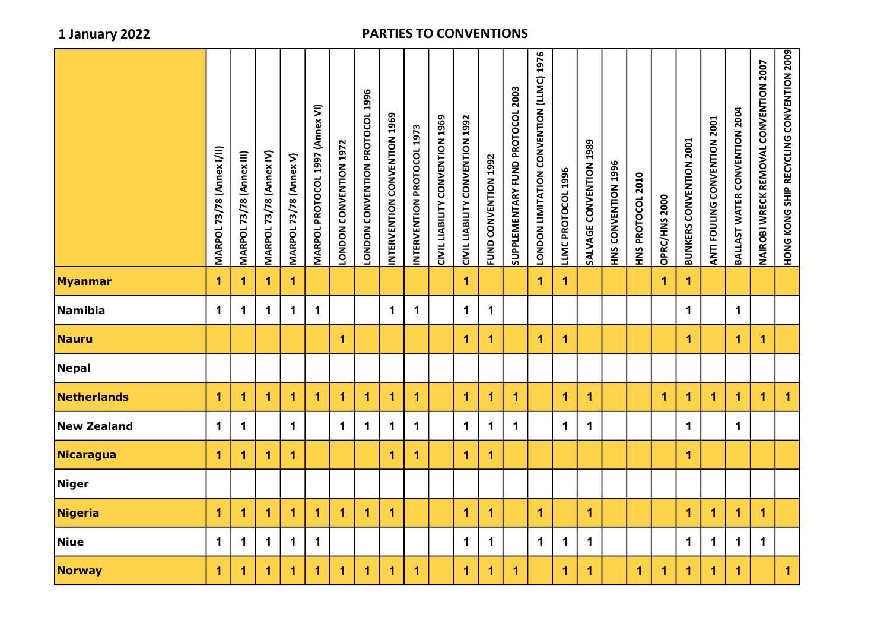|                    | <b>MARPOL 73/78 (Annex I/II)</b> | MARPOL 73/78 (Annex III) | MARPOL 73/78 (Annex IV) | MARPOL 73/78 (Annex V) | MARPOL PROTOCOL 1997 (Annex VI) | LONDON CONVENTION 1972 | LONDON CONVENTION PROTOCOL 1996 | INTERVENTION CONVENTION 1969 | INTERVENTION PROTOCOL 1973 | CIVIL LIABILITY CONVENTION 1969 | CIVIL LIABILITY CONVENTION 1992 | FUND CONVENTION 1992 | SUPPLEMENTARY FUND PROTOCOL 2003 | LONDON LIMITATION CONVENTION (LLMC) 1976 | LLMC PROTOCOL 1996   | SALVAGE CONVENTION 1989 | <b>HNS CONVENTION 1996</b> | HNS PROTOCOL 2010 | OPRC/HNS 2000 | <b>BUNKERS CONVENTION 2001</b> | <b>TOON NOILNINNOU UNIIDOL ILNE</b> | BALLAST WATER CONVENTION 2004 | NAIROBI WRECK REMOVAL CONVENTION 2007 | HONG KONG SHIP RECYCLING CONVENTION 2009 |
|--------------------|----------------------------------|--------------------------|-------------------------|------------------------|---------------------------------|------------------------|---------------------------------|------------------------------|----------------------------|---------------------------------|---------------------------------|----------------------|----------------------------------|------------------------------------------|----------------------|-------------------------|----------------------------|-------------------|---------------|--------------------------------|-------------------------------------|-------------------------------|---------------------------------------|------------------------------------------|
| <b>Myanmar</b>     | $\blacktriangleleft$             | 1                        | 1                       | 1                      |                                 |                        |                                 |                              |                            |                                 | $\mathbf{1}$                    |                      |                                  | $\blacktriangleleft$                     | $\mathbf{1}$         |                         |                            |                   | 1.            | $\mathbf 1$                    |                                     |                               |                                       |                                          |
| Namibia            | $\mathbf 1$                      | 1                        | $\mathbf 1$             | $\mathbf 1$            | $\mathbf 1$                     |                        |                                 | $\mathbf 1$                  | $\mathbf{1}$               |                                 | $\mathbf 1$                     | $\mathbf 1$          |                                  |                                          |                      |                         |                            |                   |               | $\mathbf 1$                    |                                     | $\mathbf 1$                   |                                       |                                          |
| <b>Nauru</b>       |                                  |                          |                         |                        |                                 | 1                      |                                 |                              |                            |                                 | $\mathbf{1}$                    | 1                    |                                  | $\blacktriangleleft$                     | $\blacktriangleleft$ |                         |                            |                   |               | $\mathbf{1}$                   |                                     | $\mathbf{1}$                  | $\mathbf{1}$                          |                                          |
| <b>Nepal</b>       |                                  |                          |                         |                        |                                 |                        |                                 |                              |                            |                                 |                                 |                      |                                  |                                          |                      |                         |                            |                   |               |                                |                                     |                               |                                       |                                          |
| Netherlands        | $\mathbf 1$                      | $\mathbf 1$              | 1                       | $\mathbf{1}$           | 1                               | $\mathbf{1}$           | 1                               | $\blacktriangleleft$         | $\blacktriangleleft$       |                                 | $\mathbf{1}$                    | 1                    | $\blacktriangleleft$             |                                          | $\blacktriangleleft$ | $\blacktriangleleft$    |                            |                   | $\mathbf{1}$  | $\mathbf{1}$                   | $\blacktriangleleft$                | $\mathbf 1$                   | $\mathbf{1}$                          | $\mathbf{1}$                             |
| <b>New Zealand</b> | $\mathbf 1$                      | $\mathbf 1$              |                         | $\mathbf 1$            |                                 | $\mathbf 1$            | $\mathbf 1$                     | $\mathbf 1$                  | $\mathbf{1}$               |                                 | $\mathbf 1$                     | $\mathbf 1$          | $\mathbf 1$                      |                                          | $\mathbf 1$          | $\mathbf 1$             |                            |                   |               | $\mathbf 1$                    |                                     | $\mathbf 1$                   |                                       |                                          |
| Nicaragua          | $\mathbf 1$                      | $\mathbf 1$              | 1                       | 1                      |                                 |                        |                                 | $\overline{1}$               | $\overline{1}$             |                                 | $\overline{1}$                  | $\blacktriangleleft$ |                                  |                                          |                      |                         |                            |                   |               | $\mathbf{1}$                   |                                     |                               |                                       |                                          |
| <b>Niger</b>       |                                  |                          |                         |                        |                                 |                        |                                 |                              |                            |                                 |                                 |                      |                                  |                                          |                      |                         |                            |                   |               |                                |                                     |                               |                                       |                                          |
| <b>Nigeria</b>     | $\blacktriangleleft$             | 1                        | 1                       | 1                      | 1                               | $\mathbf{1}$           | $\blacktriangleleft$            | $\blacktriangleleft$         |                            |                                 | $\mathbf{1}$                    | $\blacktriangleleft$ |                                  | $\blacktriangleleft$                     |                      | $\mathbf{1}$            |                            |                   |               | $\mathbf{1}$                   | 1                                   | $\mathbf{1}$                  | $\mathbf{1}$                          |                                          |
| <b>Niue</b>        | $\mathbf 1$                      | $\mathbf 1$              | $\mathbf 1$             | $\mathbf 1$            | $\mathbf 1$                     |                        |                                 |                              |                            |                                 | $\mathbf 1$                     | $\mathbf 1$          |                                  | $\mathbf 1$                              | $\mathbf 1$          | $\mathbf 1$             |                            |                   |               | $\mathbf 1$                    | $\mathbf 1$                         | $\mathbf 1$                   | $\mathbf 1$                           |                                          |
| <b>Norway</b>      | $\mathbf 1$                      | 1                        | 1                       | 1                      | $\overline{1}$                  | 1                      | $\mathbf{1}$                    | $\blacktriangleleft$         | $\overline{1}$             |                                 | $\blacktriangleleft$            | $\blacktriangleleft$ | $\mathbf{1}$                     |                                          | $\blacktriangleleft$ | $\mathbf 1$             |                            | $\mathbf{1}$      | $\mathbf{1}$  | $\mathbf{1}$                   | $\mathbf{1}$                        | $\overline{\mathbf{1}}$       |                                       | $\blacktriangleleft$                     |
|                    |                                  |                          |                         |                        |                                 |                        |                                 |                              |                            |                                 |                                 |                      |                                  |                                          |                      |                         |                            |                   |               |                                |                                     |                               |                                       |                                          |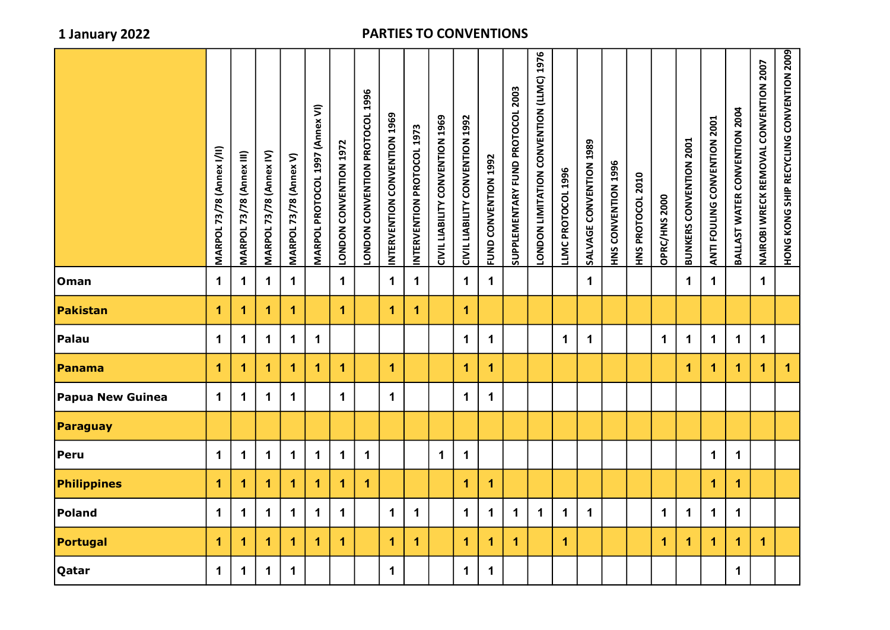|                         | MARPOL 73/78 (Annex I/II) | MARPOL 73/78 (Annex III) | <b>MARPOL 73/78 (Annex IV)</b> | <b>MARPOL 73/78 (Annex V)</b> | MARPOL PROTOCOL 1997 (Annex VI) | LONDON CONVENTION 1972 | LONDON CONVENTION PROTOCOL 1996 | INTERVENTION CONVENTION 1969 | INTERVENTION PROTOCOL 1973 | CIVIL LIABILIY CONVENTION 1969 | CIVIL LIABILITY CONVENTION 1992 | FUND CONVENTION 1992 | SUPPLEMENTARY FUND PROTOCOL 2003 | <b>9267 (UNII) NOILNINNOU NOILALINII NOONOI</b> | LLMC PROTOCOL 1996 | SALVAGE CONVENTION 1989 | HNS CONVENTION 1996 | HNS PROTOCOL 2010 | OPRC/HNS 2000 | <b>BUNKERS CONVENTION 2001</b> | ANTI FOULING CONVENTION 2001 | BALLAST WATER CONVENTION 2004 | NAIROBI WRECK REMOVAL CONVENTION 2007 | HONG KONG SHIP RECYCLING CONVENTION 2009 |
|-------------------------|---------------------------|--------------------------|--------------------------------|-------------------------------|---------------------------------|------------------------|---------------------------------|------------------------------|----------------------------|--------------------------------|---------------------------------|----------------------|----------------------------------|-------------------------------------------------|--------------------|-------------------------|---------------------|-------------------|---------------|--------------------------------|------------------------------|-------------------------------|---------------------------------------|------------------------------------------|
| Oman                    | $\mathbf 1$               | $\mathbf 1$              | $\mathbf 1$                    | $\mathbf 1$                   |                                 | $\mathbf 1$            |                                 | $\mathbf 1$                  | $\mathbf 1$                |                                | $\mathbf 1$                     | $\mathbf 1$          |                                  |                                                 |                    | $\mathbf 1$             |                     |                   |               | $\mathbf 1$                    | $\mathbf 1$                  |                               | $\mathbf 1$                           |                                          |
| <b>Pakistan</b>         | 1                         | 1                        | 1                              | $\mathbf{1}$                  |                                 | $\overline{1}$         |                                 | $\overline{1}$               | $\mathbf{1}$               |                                | $\mathbf{1}$                    |                      |                                  |                                                 |                    |                         |                     |                   |               |                                |                              |                               |                                       |                                          |
| Palau                   | $\mathbf 1$               | 1                        | $\mathbf 1$                    | $\mathbf 1$                   | $\mathbf 1$                     |                        |                                 |                              |                            |                                | $\mathbf 1$                     | $\mathbf 1$          |                                  |                                                 | $\mathbf 1$        | $\mathbf 1$             |                     |                   | $\mathbf 1$   | $\mathbf 1$                    | $\mathbf 1$                  | $\mathbf 1$                   | $\mathbf 1$                           |                                          |
| Panama                  | 1                         | 1                        | 1                              | 1                             | $\overline{1}$                  | $\blacktriangleleft$   |                                 | $\overline{1}$               |                            |                                | 1                               | $\overline{1}$       |                                  |                                                 |                    |                         |                     |                   |               | 1                              | $\overline{1}$               | $\mathbf{1}$                  | $\overline{1}$                        | $\mathbf{1}$                             |
| <b>Papua New Guinea</b> | $\mathbf 1$               | 1                        | $\mathbf 1$                    | $\mathbf 1$                   |                                 | $\mathbf{1}$           |                                 | $\mathbf 1$                  |                            |                                | $\mathbf 1$                     | $\mathbf 1$          |                                  |                                                 |                    |                         |                     |                   |               |                                |                              |                               |                                       |                                          |
| Paraguay                |                           |                          |                                |                               |                                 |                        |                                 |                              |                            |                                |                                 |                      |                                  |                                                 |                    |                         |                     |                   |               |                                |                              |                               |                                       |                                          |
| Peru                    | $\mathbf 1$               | $\mathbf 1$              | $\mathbf 1$                    | $\mathbf 1$                   | $\mathbf 1$                     | $\mathbf 1$            | $\mathbf 1$                     |                              |                            | $\mathbf 1$                    | $\mathbf 1$                     |                      |                                  |                                                 |                    |                         |                     |                   |               |                                | $\mathbf 1$                  | $\mathbf 1$                   |                                       |                                          |
| Philippines             | $\mathbf{1}$              | 1                        | 1                              | $\blacktriangleleft$          | $\blacktriangleleft$            | 1                      | $\overline{1}$                  |                              |                            |                                | 1                               | $\blacktriangleleft$ |                                  |                                                 |                    |                         |                     |                   |               |                                | $\mathbf{1}$                 | $\overline{1}$                |                                       |                                          |
| Poland                  | $\mathbf 1$               | $\mathbf 1$              | $\mathbf 1$                    | $\mathbf 1$                   | $\mathbf 1$                     | $\mathbf 1$            |                                 | $\mathbf 1$                  | $\mathbf 1$                |                                | $\mathbf 1$                     | $\mathbf 1$          | $\mathbf 1$                      | $\mathbf 1$                                     | $\mathbf 1$        | $\mathbf{1}$            |                     |                   | $\mathbf 1$   | $\mathbf 1$                    | $\mathbf 1$                  | $\mathbf 1$                   |                                       |                                          |
| Portugal                | 1                         | 1                        | 1                              | 1                             | 1                               | 1                      |                                 | 1                            | 1                          |                                | $\blacktriangleleft$            | 1                    | $\blacktriangleleft$             |                                                 | $\mathbf{1}$       |                         |                     |                   | 1.            | $\mathbf{1}$                   | $\overline{1}$               | $\blacktriangleleft$          | $\mathbf{1}$                          |                                          |
| Qatar                   | $\mathbf 1$               | 1                        | $\mathbf 1$                    | $\mathbf 1$                   |                                 |                        |                                 | $\mathbf{1}$                 |                            |                                | $\mathbf 1$                     | $\mathbf{1}$         |                                  |                                                 |                    |                         |                     |                   |               |                                |                              | $\mathbf 1$                   |                                       |                                          |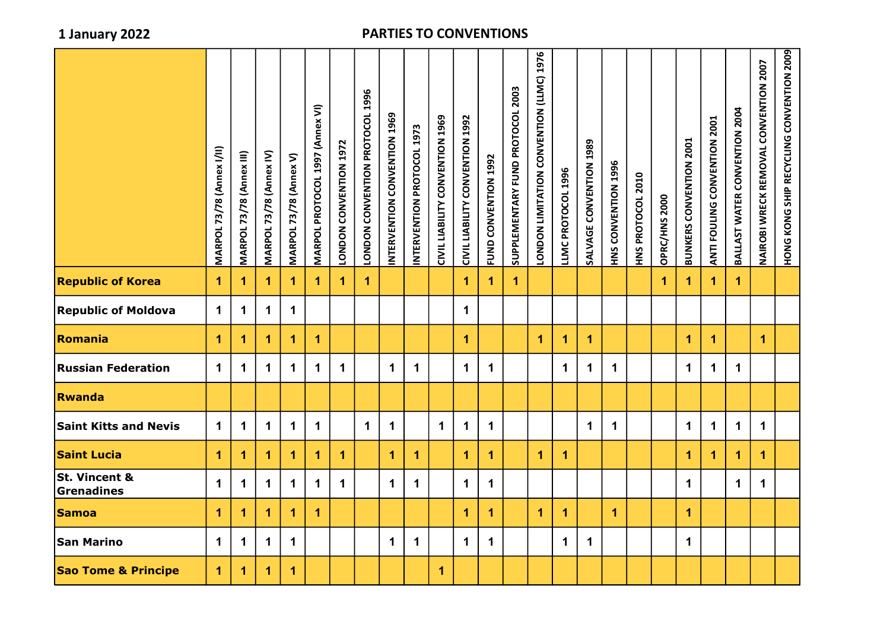| LONDON CONVENTION PROTOCOL 1996<br>INTERVENTION CONVENTION 1969<br>INTERVENTION PROTOCOL 1973<br><b>BUNKERS CONVENTION 2001</b><br><b>SALVAGE CONVENTION 1308</b><br>LONDON CONVENTION 1972<br><b>MARPOL 73/78 (Annex I/II)</b><br><b>MARPOL 73/78 (Annex IV)</b><br><b>MARPOL 73/78 (Annex III)</b><br>MARPOL 73/78 (Annex V)<br>FUND CONVENTION 1992<br>HNS CONVENTION 1996<br>LLMC PROTOCOL 1996<br>HNS PROTOCOL 2010<br>OPRC/HNS 2000<br>$\mathbf{1}$<br>$\overline{1}$<br>$\overline{1}$<br>$\overline{1}$<br>$\blacktriangleleft$<br>$\overline{1}$<br>$\blacktriangleleft$<br>1<br>1<br>1<br>$\mathbf{1}$<br>1<br>1.<br>1.<br>$\mathbf 1$<br>$\mathbf 1$<br>$\mathbf 1$<br>$\mathbf 1$<br>1<br>$\mathbf 1$<br>1<br>$\mathbf{1}$<br>$\mathbf{1}$<br>$\blacktriangleleft$<br>$\mathbf{1}$<br>$\mathbf 1$<br>1<br>1<br>1<br>1<br>1<br>$\mathbf 1$<br>$\mathbf 1$<br>$\mathbf 1$<br>$\mathbf 1$<br>$\mathbf 1$<br>$\mathbf 1$<br>$\mathbf 1$<br>$\mathbf 1$<br>$\mathbf 1$<br>$\blacktriangleleft$<br>$\mathbf 1$<br>$\mathbf 1$<br>$\mathbf 1$<br>1<br>1<br>$\mathbf 1$<br>$\mathbf 1$<br>$\mathbf{1}$<br>$\mathbf 1$<br>$\mathbf 1$<br>$\mathbf 1$<br>$\mathbf 1$<br>$\mathbf 1$<br>$\mathbf 1$<br>$\mathbf 1$<br>$\mathbf 1$<br>$\mathbf 1$<br>$\mathbf 1$<br>$\mathbf 1$<br>$\mathbf 1$<br>$\mathbf 1$<br>1<br>$\mathbf 1$<br>1<br>1<br>$\blacktriangleleft$<br>-1<br>1<br>1<br>1<br>$\blacktriangleleft$<br>$\blacktriangleleft$<br>$\mathbf{1}$<br>$\mathbf{1}$<br>$\blacktriangleleft$<br>1<br>1<br>1<br>$\mathbf 1$<br>$\mathbf{1}$<br>$\mathbf 1$<br>$\mathbf 1$<br>$\mathbf 1$<br>$\mathbf 1$<br>$\mathbf 1$<br>$\mathbf 1$<br>$\mathbf 1$<br>$\mathbf 1$<br>$\mathbf 1$<br>$\mathbf 1$<br>$\mathbf 1$<br>$\mathbf 1$<br>1<br>$\blacktriangleleft$<br>$\blacktriangleleft$<br>$\mathbf{1}$<br>$\mathbf{1}$<br>1<br>1<br>$\mathbf{1}$<br>1<br>1<br>$\mathbf 1$<br>$\mathbf 1$<br>$\mathbf 1$<br>$\mathbf 1$<br>$\mathbf 1$<br>$\mathbf 1$<br>$\mathbf 1$<br>$\mathbf 1$<br>$\mathbf 1$<br>$\mathbf 1$<br>$\mathbf 1$<br>$\mathbf 1$<br>$\blacktriangleleft$<br>$\overline{1}$<br>1<br>1. |                                |  |  |                                 |  |  |                                 |                          |                                  |                                                 |  |  |  |                                     |                               |                                       |                                          |
|------------------------------------------------------------------------------------------------------------------------------------------------------------------------------------------------------------------------------------------------------------------------------------------------------------------------------------------------------------------------------------------------------------------------------------------------------------------------------------------------------------------------------------------------------------------------------------------------------------------------------------------------------------------------------------------------------------------------------------------------------------------------------------------------------------------------------------------------------------------------------------------------------------------------------------------------------------------------------------------------------------------------------------------------------------------------------------------------------------------------------------------------------------------------------------------------------------------------------------------------------------------------------------------------------------------------------------------------------------------------------------------------------------------------------------------------------------------------------------------------------------------------------------------------------------------------------------------------------------------------------------------------------------------------------------------------------------------------------------------------------------------------------------------------------------------------------------------------------------------------------------------------------------------------------------------------------------------------------------------------------------------------------------------------------------------------------------------------------|--------------------------------|--|--|---------------------------------|--|--|---------------------------------|--------------------------|----------------------------------|-------------------------------------------------|--|--|--|-------------------------------------|-------------------------------|---------------------------------------|------------------------------------------|
|                                                                                                                                                                                                                                                                                                                                                                                                                                                                                                                                                                                                                                                                                                                                                                                                                                                                                                                                                                                                                                                                                                                                                                                                                                                                                                                                                                                                                                                                                                                                                                                                                                                                                                                                                                                                                                                                                                                                                                                                                                                                                                      |                                |  |  | MARPOL PROTOCOL 1997 (Annex VI) |  |  | CIVIL LIABILITY CONVENTION 1969 | NOCINANACO ALITERIT INCI | SUPPLEMENTARY FUND PROTOCOL 2003 | <b>LONDON LIMITATION CONVENTION (LLMC) 1976</b> |  |  |  | <b>TOON NOILNINNOU UNIIDOL ILNA</b> | BALLAST WATER CONVENTION 2004 | NAIROBI WRECK REMOVAL CONVENTION 2007 | HONG KONG SHIP RECYCLING CONVENTION 2009 |
|                                                                                                                                                                                                                                                                                                                                                                                                                                                                                                                                                                                                                                                                                                                                                                                                                                                                                                                                                                                                                                                                                                                                                                                                                                                                                                                                                                                                                                                                                                                                                                                                                                                                                                                                                                                                                                                                                                                                                                                                                                                                                                      | <b>Republic of Korea</b>       |  |  |                                 |  |  |                                 |                          |                                  |                                                 |  |  |  |                                     |                               |                                       |                                          |
|                                                                                                                                                                                                                                                                                                                                                                                                                                                                                                                                                                                                                                                                                                                                                                                                                                                                                                                                                                                                                                                                                                                                                                                                                                                                                                                                                                                                                                                                                                                                                                                                                                                                                                                                                                                                                                                                                                                                                                                                                                                                                                      | <b>Republic of Moldova</b>     |  |  |                                 |  |  |                                 |                          |                                  |                                                 |  |  |  |                                     |                               |                                       |                                          |
|                                                                                                                                                                                                                                                                                                                                                                                                                                                                                                                                                                                                                                                                                                                                                                                                                                                                                                                                                                                                                                                                                                                                                                                                                                                                                                                                                                                                                                                                                                                                                                                                                                                                                                                                                                                                                                                                                                                                                                                                                                                                                                      | Romania                        |  |  |                                 |  |  |                                 |                          |                                  |                                                 |  |  |  |                                     |                               |                                       |                                          |
|                                                                                                                                                                                                                                                                                                                                                                                                                                                                                                                                                                                                                                                                                                                                                                                                                                                                                                                                                                                                                                                                                                                                                                                                                                                                                                                                                                                                                                                                                                                                                                                                                                                                                                                                                                                                                                                                                                                                                                                                                                                                                                      | <b>Russian Federation</b>      |  |  |                                 |  |  |                                 |                          |                                  |                                                 |  |  |  |                                     |                               |                                       |                                          |
|                                                                                                                                                                                                                                                                                                                                                                                                                                                                                                                                                                                                                                                                                                                                                                                                                                                                                                                                                                                                                                                                                                                                                                                                                                                                                                                                                                                                                                                                                                                                                                                                                                                                                                                                                                                                                                                                                                                                                                                                                                                                                                      | <b>Rwanda</b>                  |  |  |                                 |  |  |                                 |                          |                                  |                                                 |  |  |  |                                     |                               |                                       |                                          |
|                                                                                                                                                                                                                                                                                                                                                                                                                                                                                                                                                                                                                                                                                                                                                                                                                                                                                                                                                                                                                                                                                                                                                                                                                                                                                                                                                                                                                                                                                                                                                                                                                                                                                                                                                                                                                                                                                                                                                                                                                                                                                                      | <b>Saint Kitts and Nevis</b>   |  |  |                                 |  |  |                                 |                          |                                  |                                                 |  |  |  |                                     |                               |                                       |                                          |
|                                                                                                                                                                                                                                                                                                                                                                                                                                                                                                                                                                                                                                                                                                                                                                                                                                                                                                                                                                                                                                                                                                                                                                                                                                                                                                                                                                                                                                                                                                                                                                                                                                                                                                                                                                                                                                                                                                                                                                                                                                                                                                      | <b>Saint Lucia</b>             |  |  |                                 |  |  |                                 |                          |                                  |                                                 |  |  |  |                                     |                               |                                       |                                          |
|                                                                                                                                                                                                                                                                                                                                                                                                                                                                                                                                                                                                                                                                                                                                                                                                                                                                                                                                                                                                                                                                                                                                                                                                                                                                                                                                                                                                                                                                                                                                                                                                                                                                                                                                                                                                                                                                                                                                                                                                                                                                                                      | St. Vincent &<br>Grenadines    |  |  |                                 |  |  |                                 |                          |                                  |                                                 |  |  |  |                                     |                               |                                       |                                          |
|                                                                                                                                                                                                                                                                                                                                                                                                                                                                                                                                                                                                                                                                                                                                                                                                                                                                                                                                                                                                                                                                                                                                                                                                                                                                                                                                                                                                                                                                                                                                                                                                                                                                                                                                                                                                                                                                                                                                                                                                                                                                                                      | <b>Samoa</b>                   |  |  |                                 |  |  |                                 |                          |                                  |                                                 |  |  |  |                                     |                               |                                       |                                          |
|                                                                                                                                                                                                                                                                                                                                                                                                                                                                                                                                                                                                                                                                                                                                                                                                                                                                                                                                                                                                                                                                                                                                                                                                                                                                                                                                                                                                                                                                                                                                                                                                                                                                                                                                                                                                                                                                                                                                                                                                                                                                                                      | San Marino                     |  |  |                                 |  |  |                                 |                          |                                  |                                                 |  |  |  |                                     |                               |                                       |                                          |
|                                                                                                                                                                                                                                                                                                                                                                                                                                                                                                                                                                                                                                                                                                                                                                                                                                                                                                                                                                                                                                                                                                                                                                                                                                                                                                                                                                                                                                                                                                                                                                                                                                                                                                                                                                                                                                                                                                                                                                                                                                                                                                      | <b>Sao Tome &amp; Principe</b> |  |  |                                 |  |  |                                 |                          |                                  |                                                 |  |  |  |                                     |                               |                                       |                                          |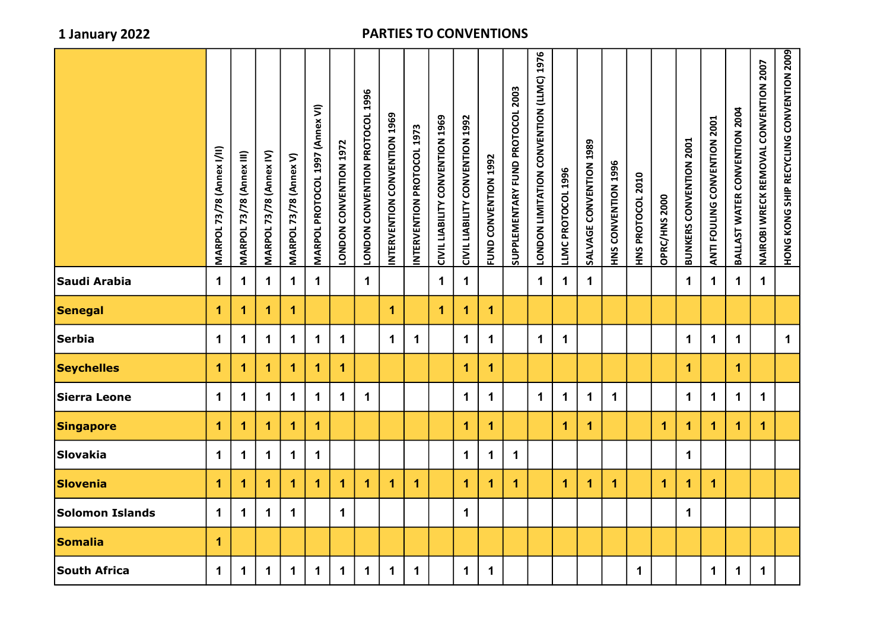|                        | <b>MARPOL 73/78 (Annex I/II)</b> | <b>MARPOL 73/78 (Annex III)</b> | MARPOL 73/78 (Annex IV) | <b>MARPOL 73/78 (Annex V)</b> | MARPOL PROTOCOL 1997 (Annex VI) | LONDON CONVENTION 1972 | LONDON CONVENTION PROTOCOL 1996 | INTERVENTION CONVENTION 1969 | INTERVENTION PROTOCOL 1973 | CIVIL LIABILITY CONVENTION 1969 | CIVIL LIABILITY CONVENTION 1992 | FUND CONVENTION 1992 | SUPPLEMENTARY FUND PROTOCOL 2003 | <b>DODOO CONVENTATION CONSTRUST DISPOSE</b> | LLMC PROTOCOL 1996 | SALVAGE CONVENTION 1989 | HNS CONVENTION 1996 | HNS PROTOCOL 2010 | OPRC/HNS 2000        | <b>BUNKERS CONVENTION 2001</b> | ANTI FOULING CONVENTION 2001 | BALLAST WATER CONVENTION 2004 | NAIROBI WRECK REMOVAL CONVENTION 2007 | HONG KONG SHIP RECYCLING SHIP SATION 2009 |
|------------------------|----------------------------------|---------------------------------|-------------------------|-------------------------------|---------------------------------|------------------------|---------------------------------|------------------------------|----------------------------|---------------------------------|---------------------------------|----------------------|----------------------------------|---------------------------------------------|--------------------|-------------------------|---------------------|-------------------|----------------------|--------------------------------|------------------------------|-------------------------------|---------------------------------------|-------------------------------------------|
| Saudi Arabia           | $\mathbf 1$                      | $\mathbf 1$                     | $\mathbf 1$             | $\mathbf 1$                   | $\mathbf{1}$                    |                        | $\mathbf{1}$                    |                              |                            | $\mathbf 1$                     | $\mathbf 1$                     |                      |                                  | $\mathbf 1$                                 | $\mathbf 1$        | $\mathbf 1$             |                     |                   |                      | $\mathbf 1$                    | $\mathbf 1$                  | $\mathbf 1$                   | $\mathbf 1$                           |                                           |
| Senegal                | 1                                | 1                               | 1                       | $\blacktriangleleft$          |                                 |                        |                                 | $\overline{1}$               |                            | $\overline{1}$                  | 1                               | $\mathbf{1}$         |                                  |                                             |                    |                         |                     |                   |                      |                                |                              |                               |                                       |                                           |
| <b>Serbia</b>          | $\mathbf 1$                      | $\mathbf 1$                     | $\mathbf 1$             | $\mathbf 1$                   | $\blacktriangleleft$            | $\mathbf{1}$           |                                 | $\mathbf{1}$                 | $\mathbf 1$                |                                 | $\mathbf{1}$                    | $\mathbf 1$          |                                  | $\mathbf 1$                                 | $\mathbf 1$        |                         |                     |                   |                      | $\mathbf 1$                    | $\mathbf 1$                  | $\mathbf 1$                   |                                       | $\mathbf 1$                               |
| <b>Seychelles</b>      | 1                                | $\blacktriangleleft$            | 1                       | $\blacktriangleleft$          | 1                               | $\overline{1}$         |                                 |                              |                            |                                 | 1                               | $\mathbf{1}$         |                                  |                                             |                    |                         |                     |                   |                      | $\overline{1}$                 |                              | $\overline{1}$                |                                       |                                           |
| Sierra Leone           | $\mathbf 1$                      | $\mathbf 1$                     | $\mathbf 1$             | $\mathbf 1$                   | $\mathbf 1$                     | $\mathbf 1$            | $\mathbf 1$                     |                              |                            |                                 | $\mathbf 1$                     | $\mathbf 1$          |                                  | $\mathbf 1$                                 | $\mathbf 1$        | $\mathbf 1$             | $\mathbf 1$         |                   |                      | $\mathbf 1$                    | $\mathbf 1$                  | $\mathbf 1$                   | $\mathbf 1$                           |                                           |
| <b>Singapore</b>       | 1                                | 1                               | 1                       | $\blacktriangleleft$          | $\blacktriangleleft$            |                        |                                 |                              |                            |                                 | 1                               | $\mathbf{1}$         |                                  |                                             | $\mathbf 1$        | 1                       |                     |                   | $\blacktriangleleft$ | $\mathbf{1}$                   | $\blacktriangleleft$         | $\blacktriangleleft$          | $\mathbf 1$                           |                                           |
| Slovakia               | $\mathbf 1$                      | $\mathbf 1$                     | $\mathbf 1$             | $\mathbf 1$                   | $\mathbf 1$                     |                        |                                 |                              |                            |                                 | $\mathbf 1$                     | $\mathbf 1$          | $\mathbf 1$                      |                                             |                    |                         |                     |                   |                      | $\mathbf 1$                    |                              |                               |                                       |                                           |
| Slovenia               | 1                                | $\blacktriangleleft$            | 1                       | $\blacktriangleleft$          | 1                               | $\blacktriangleleft$   | $\blacktriangleleft$            | 1                            | $\blacktriangleleft$       |                                 | $\blacktriangleleft$            | $\mathbf{1}$         | $\blacktriangleleft$             |                                             | $\mathbf 1$        | 1                       | $\mathbf{1}$        |                   | $\blacktriangleleft$ | $\mathbf{1}$                   | $\blacktriangleleft$         |                               |                                       |                                           |
| <b>Solomon Islands</b> | $\mathbf 1$                      | $\mathbf 1$                     | $\mathbf 1$             | $\mathbf 1$                   |                                 | $\mathbf 1$            |                                 |                              |                            |                                 | $\mathbf 1$                     |                      |                                  |                                             |                    |                         |                     |                   |                      | $\mathbf 1$                    |                              |                               |                                       |                                           |
| Somalia                | 1                                |                                 |                         |                               |                                 |                        |                                 |                              |                            |                                 |                                 |                      |                                  |                                             |                    |                         |                     |                   |                      |                                |                              |                               |                                       |                                           |
| <b>South Africa</b>    | $\mathbf 1$                      | $\mathbf 1$                     | $\mathbf 1$             | $\mathbf 1$                   | $\mathbf{1}$                    | $\mathbf{1}$           | $\mathbf{1}$                    | $\mathbf 1$                  | $\mathbf 1$                |                                 | $\mathbf 1$                     | $\mathbf 1$          |                                  |                                             |                    |                         |                     | $\mathbf 1$       |                      |                                | $\mathbf 1$                  | $\mathbf 1$                   | $\mathbf 1$                           |                                           |
|                        |                                  |                                 |                         |                               |                                 |                        |                                 |                              |                            |                                 |                                 |                      |                                  |                                             |                    |                         |                     |                   |                      |                                |                              |                               |                                       |                                           |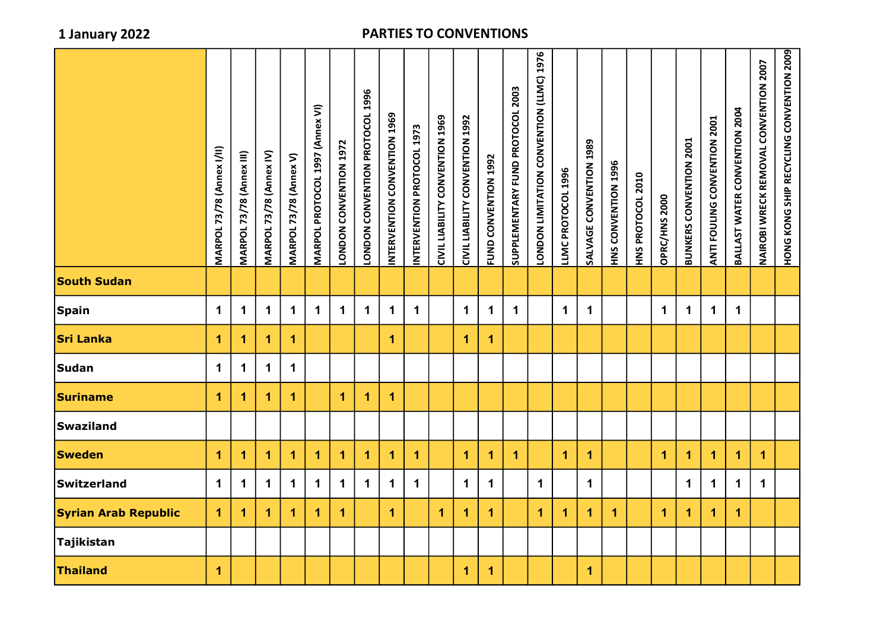|                             | <b>MARPOL 73/78 (Annex I/II)</b> | <b>MARPOL 73/78 (Annex III)</b> | MARPOL 73/78 (Annex IV) | <b>MARPOL 73/78 (Annex V)</b> | MARPOL PROTOCOL 1997 (Annex VI) | LONDON CONVENTION 1972 | LONDON CONVENTION PROTOCOL 1996 | INTERVENTION CONVENTION 1969 | INTERVENTION PROTOCOL 1973 | CIVIL LIABILITY CONVENTION 1969 | CIVIL LIABILITY CONVENTION 1992 | FUND CONVENTION 1992 | SUPPLEMENTARY FUND PROTOCOL 2003 | <b>UDDON LIMITATION CONVENTION (LLMC) 1976</b> | LLMC PROTOCOL 1996   | SALVAGE CONVENTION 13 | HNS CONVENTION 1996 | HNS PROTOCOL 2010 | OPRC/HNS 2000 | <b>BUNKERS CONVENTION 2001</b> | <b>TOON ZOLINATI FOUTLOU LEASE</b> | BALLAST WATER CONVENTION 2004 | NAIROBI WRECK REMOVAL CONVENTION 2007 | HONG KONG SHIP RECYCLING CONVENTION 2009 |
|-----------------------------|----------------------------------|---------------------------------|-------------------------|-------------------------------|---------------------------------|------------------------|---------------------------------|------------------------------|----------------------------|---------------------------------|---------------------------------|----------------------|----------------------------------|------------------------------------------------|----------------------|-----------------------|---------------------|-------------------|---------------|--------------------------------|------------------------------------|-------------------------------|---------------------------------------|------------------------------------------|
| <b>South Sudan</b>          |                                  |                                 |                         |                               |                                 |                        |                                 |                              |                            |                                 |                                 |                      |                                  |                                                |                      |                       |                     |                   |               |                                |                                    |                               |                                       |                                          |
| <b>Spain</b>                | $\mathbf 1$                      | 1                               | $\mathbf 1$             | $\mathbf 1$                   | $\mathbf 1$                     | $\mathbf 1$            | $\mathbf 1$                     | $\mathbf 1$                  | $\mathbf 1$                |                                 | $\mathbf 1$                     | $\mathbf 1$          | $\mathbf 1$                      |                                                | $\mathbf 1$          | $\mathbf 1$           |                     |                   | $\mathbf 1$   | $\mathbf 1$                    | $\mathbf 1$                        | $\mathbf 1$                   |                                       |                                          |
| <b>Sri Lanka</b>            | $\mathbf 1$                      | 1.                              | 1                       | 1                             |                                 |                        |                                 | 1                            |                            |                                 | $\mathbf{1}$                    | 1                    |                                  |                                                |                      |                       |                     |                   |               |                                |                                    |                               |                                       |                                          |
| Sudan                       | $\mathbf 1$                      | $\mathbf 1$                     | $\mathbf 1$             | $\mathbf 1$                   |                                 |                        |                                 |                              |                            |                                 |                                 |                      |                                  |                                                |                      |                       |                     |                   |               |                                |                                    |                               |                                       |                                          |
| <b>Suriname</b>             | $\overline{1}$                   | 1.                              | 1.                      | 1                             |                                 | 1                      | $\overline{1}$                  | $\overline{1}$               |                            |                                 |                                 |                      |                                  |                                                |                      |                       |                     |                   |               |                                |                                    |                               |                                       |                                          |
| <b>Swaziland</b>            |                                  |                                 |                         |                               |                                 |                        |                                 |                              |                            |                                 |                                 |                      |                                  |                                                |                      |                       |                     |                   |               |                                |                                    |                               |                                       |                                          |
| <b>Sweden</b>               | $\mathbf 1$                      | 1.                              | 1                       | 1                             | 1                               | 1                      | $\blacktriangleleft$            | 1                            | 1                          |                                 | $\mathbf{1}$                    | 1                    | 1                                |                                                | $\blacktriangleleft$ | $\mathbf 1$           |                     |                   | 1.            | $\blacktriangleleft$           | 1                                  | $\mathbf 1$                   | 1                                     |                                          |
| Switzerland                 | $\mathbf 1$                      | $\mathbf 1$                     | $\mathbf 1$             | $\mathbf 1$                   | $\mathbf 1$                     | $\mathbf 1$            | $\mathbf 1$                     | $\mathbf 1$                  | $\mathbf 1$                |                                 | $\mathbf 1$                     | $\mathbf 1$          |                                  | $\mathbf 1$                                    |                      | $\mathbf 1$           |                     |                   |               | $\mathbf 1$                    | $\mathbf 1$                        | $\mathbf 1$                   | $\mathbf 1$                           |                                          |
| <b>Syrian Arab Republic</b> | $\blacktriangleleft$             | 1.                              | 1                       | 1                             | 1                               | 1                      |                                 | $\blacktriangleleft$         |                            | 1                               | 1                               | $\blacktriangleleft$ |                                  | $\blacktriangleleft$                           | 1                    | $\blacktriangleleft$  | 1                   |                   | 1.            | 1                              | 1                                  | $\overline{1}$                |                                       |                                          |
| Tajikistan                  |                                  |                                 |                         |                               |                                 |                        |                                 |                              |                            |                                 |                                 |                      |                                  |                                                |                      |                       |                     |                   |               |                                |                                    |                               |                                       |                                          |
| <b>Thailand</b>             | 1                                |                                 |                         |                               |                                 |                        |                                 |                              |                            |                                 | $\mathbf{1}$                    | 1                    |                                  |                                                |                      | $\blacktriangleleft$  |                     |                   |               |                                |                                    |                               |                                       |                                          |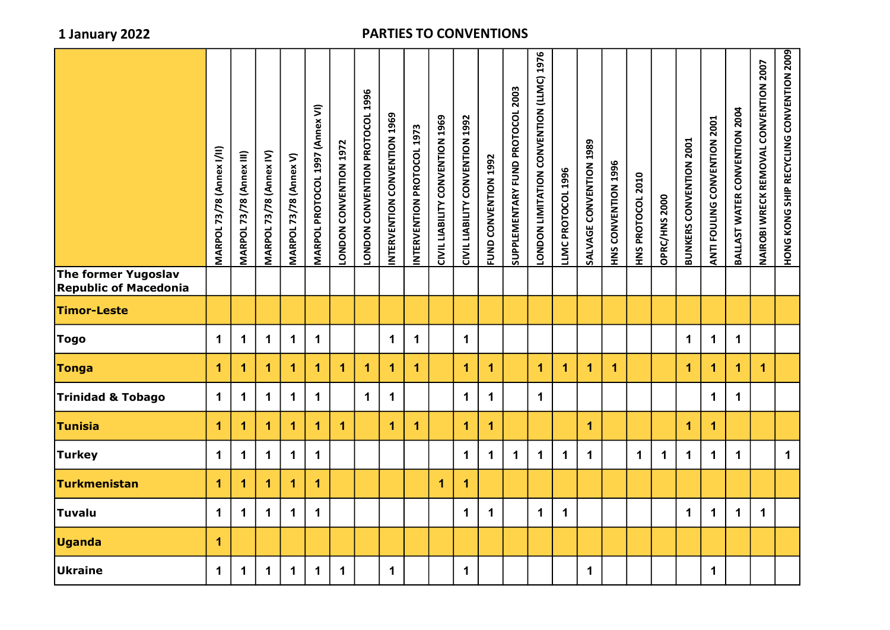|                                                     | <b>MARPOL 73/78 (Annex I/II)</b> | <b>MARPOL 73/78 (Annex III)</b> | MARPOL 73/78 (Annex IV) | MARPOL 73/78 (Annex V) | MARPOL PROTOCOL 1997 (Annex VI) | LONDON CONVENTION 1972 | 1996<br><b>LONDON CONVENTION PROTOCOL</b> | INTERVENTION CONVENTION 1969 | INTERVENTION PROTOCOL 1973 | CIVIL LIABILITY CONVENTION 1969 | CIVIL LIABILITY CONVENTION 1992 | FUND CONVENTION 1992 | SUPPLEMENTARY FUND PROTOCOL 2003 | <b>92011 NOILNNADO NOILAININ NONDOI</b> | LLMC PROTOCOL 1996   | SALVAGE CONVENTION 1989 | HNS CONVENTION 1996 | HNS PROTOCOL 2010 | OPRC/HNS 2000 | <b>BUNKERS CONVENTION 2001</b> | ANTI FOULING CONVENTION 2001 | BALLAST WATER CONVENTION 2004 | NAIROBI WRECK REMOVAL CONVENTION 2007 | HONG KONG SHIP RECYCLING CONVENTION 2009 |
|-----------------------------------------------------|----------------------------------|---------------------------------|-------------------------|------------------------|---------------------------------|------------------------|-------------------------------------------|------------------------------|----------------------------|---------------------------------|---------------------------------|----------------------|----------------------------------|-----------------------------------------|----------------------|-------------------------|---------------------|-------------------|---------------|--------------------------------|------------------------------|-------------------------------|---------------------------------------|------------------------------------------|
| The former Yugoslav<br><b>Republic of Macedonia</b> |                                  |                                 |                         |                        |                                 |                        |                                           |                              |                            |                                 |                                 |                      |                                  |                                         |                      |                         |                     |                   |               |                                |                              |                               |                                       |                                          |
| <b>Timor-Leste</b>                                  |                                  |                                 |                         |                        |                                 |                        |                                           |                              |                            |                                 |                                 |                      |                                  |                                         |                      |                         |                     |                   |               |                                |                              |                               |                                       |                                          |
| <b>Togo</b>                                         | $\mathbf 1$                      | $\mathbf 1$                     | $\mathbf 1$             | $\mathbf 1$            | $\mathbf 1$                     |                        |                                           | $\mathbf 1$                  | $\mathbf 1$                |                                 | $\mathbf 1$                     |                      |                                  |                                         |                      |                         |                     |                   |               | $\mathbf 1$                    | $\mathbf 1$                  | $\mathbf 1$                   |                                       |                                          |
| <b>Tonga</b>                                        | $\blacktriangleleft$             | 1                               | 1                       | 1                      | 1                               | $\blacktriangleleft$   | $\overline{1}$                            | 1                            | $\overline{1}$             |                                 | $\overline{1}$                  | 1                    |                                  | 1                                       | $\blacktriangleleft$ | $\blacktriangleleft$    | 1                   |                   |               | $\mathbf 1$                    | $\mathbf{1}$                 | $\overline{\mathbf{1}}$       | $\mathbf{1}$                          |                                          |
| Trinidad & Tobago                                   | $\mathbf 1$                      | $\mathbf 1$                     | $\mathbf 1$             | $\mathbf 1$            | $\mathbf 1$                     |                        | $\blacktriangleleft$                      | $\mathbf 1$                  |                            |                                 | $\mathbf 1$                     | $\mathbf 1$          |                                  | $\mathbf{1}$                            |                      |                         |                     |                   |               |                                | $\mathbf 1$                  | $\mathbf 1$                   |                                       |                                          |
| <b>Tunisia</b>                                      | $\mathbf{1}$                     | 1                               | 1                       | 1                      | $\blacktriangleleft$            | $\blacktriangleleft$   |                                           | $\blacktriangleleft$         | $\mathbf{1}$               |                                 | $\overline{1}$                  | $\mathbf{1}$         |                                  |                                         |                      | $\mathbf 1$             |                     |                   |               | 1                              | $\mathbf{1}$                 |                               |                                       |                                          |
| <b>Turkey</b>                                       | $\mathbf 1$                      | $\mathbf 1$                     | $\mathbf 1$             | $\mathbf 1$            | $\mathbf 1$                     |                        |                                           |                              |                            |                                 | $\mathbf 1$                     | $\mathbf 1$          | $\mathbf 1$                      | $\mathbf 1$                             | $\mathbf 1$          | $\mathbf 1$             |                     | $\mathbf 1$       | $\mathbf 1$   | $\mathbf 1$                    | $\mathbf 1$                  | $\mathbf 1$                   |                                       | $\mathbf 1$                              |
| Turkmenistan                                        | $\mathbf{1}$                     | 1                               | 1                       | 1                      | $\blacktriangleleft$            |                        |                                           |                              |                            | $\overline{1}$                  | $\overline{\mathbf{1}}$         |                      |                                  |                                         |                      |                         |                     |                   |               |                                |                              |                               |                                       |                                          |
| Tuvalu                                              | $\mathbf 1$                      | $\mathbf 1$                     | $\mathbf 1$             | $\mathbf 1$            | $\mathbf 1$                     |                        |                                           |                              |                            |                                 | $\mathbf 1$                     | $\mathbf 1$          |                                  | $\mathbf 1$                             | $\mathbf 1$          |                         |                     |                   |               | $\mathbf 1$                    | $\mathbf 1$                  | $\mathbf 1$                   | $\mathbf 1$                           |                                          |
| <b>Uganda</b>                                       | $\mathbf{1}$                     |                                 |                         |                        |                                 |                        |                                           |                              |                            |                                 |                                 |                      |                                  |                                         |                      |                         |                     |                   |               |                                |                              |                               |                                       |                                          |
| Ukraine                                             | $\mathbf 1$                      | $\mathbf 1$                     | $\mathbf 1$             | $\mathbf 1$            | $\mathbf 1$                     | $\mathbf 1$            |                                           | $\mathbf 1$                  |                            |                                 | $\mathbf 1$                     |                      |                                  |                                         |                      | $\mathbf 1$             |                     |                   |               |                                | $\mathbf 1$                  |                               |                                       |                                          |
|                                                     |                                  |                                 |                         |                        |                                 |                        |                                           |                              |                            |                                 |                                 |                      |                                  |                                         |                      |                         |                     |                   |               |                                |                              |                               |                                       |                                          |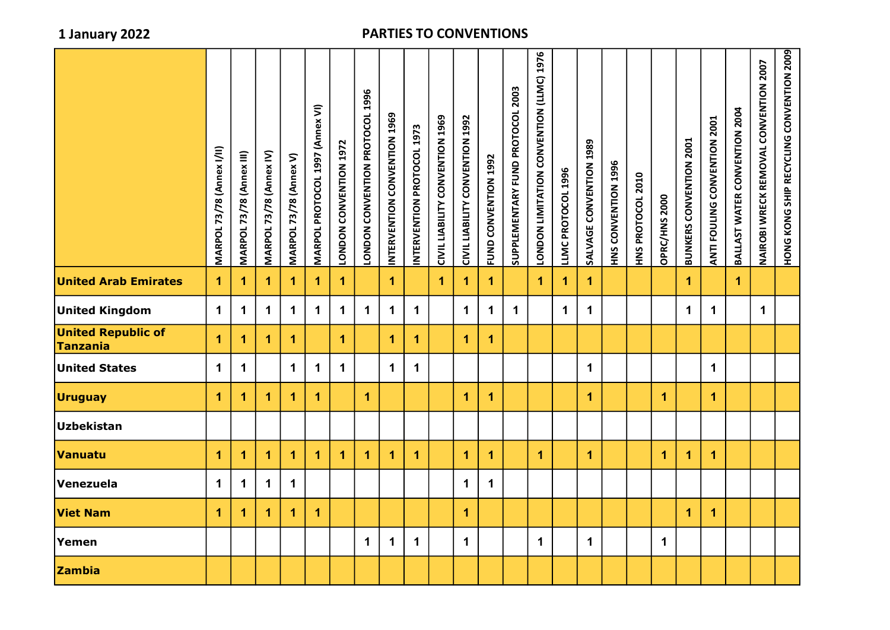|                                       | <b>MARPOL 73/78 (Annex I/II)</b> | MARPOL 73/78 (Annex III) | MARPOL 73/78 (Annex IV) | <b>MARPOL 73/78 (Annex V)</b> | MARPOL PROTOCOL 1997 (Annex VI) | LONDON CONVENTION 1972 | 1996<br>LONDON CONVENTION PROTOCOL | INTERVENTION CONVENTION 1969 | INTERVENTION PROTOCOL 1973 | CIVIL LIABILITY CONVENTION 1969 | <b>CIVIL LIABILITY CONVENTION 1992</b> | FUND CONVENTION 1992 | SUPPLEMENTARY FUND PROTOCOL 2003 | LONDON LIMITATION CONVENTION (LLMC) 1976 | LLMC PROTOCOL 1996 | SALVAGE CONVENTION 1989 | HNS CONVENTION 1996 | HNS PROTOCOL 2010 | OPRC/HNS 2000 | <b>BUNKERS CONVENTION 2001</b> | ANTI FOULING CONVENTION 2001 | BALLAST WATER CONVENTION 2004 | <b>NAIROBI WRECK REMOVAL CONVENTION 2007</b> | HONG KONG SHIP RECYCLING CONVENTION 2009 |
|---------------------------------------|----------------------------------|--------------------------|-------------------------|-------------------------------|---------------------------------|------------------------|------------------------------------|------------------------------|----------------------------|---------------------------------|----------------------------------------|----------------------|----------------------------------|------------------------------------------|--------------------|-------------------------|---------------------|-------------------|---------------|--------------------------------|------------------------------|-------------------------------|----------------------------------------------|------------------------------------------|
| <b>United Arab Emirates</b>           | $\blacktriangleleft$             | 1                        | $\mathbf{1}$            | 1                             | $\overline{1}$                  | $\overline{1}$         |                                    | $\overline{1}$               |                            | 1                               | 1                                      | 1                    |                                  | $\mathbf 1$                              | 1                  | $\mathbf 1$             |                     |                   |               | $\mathbf 1$                    |                              | $\mathbf{1}$                  |                                              |                                          |
| <b>United Kingdom</b>                 | $\mathbf 1$                      | 1                        | $\mathbf 1$             | 1                             | $\mathbf 1$                     | $\mathbf 1$            | $\mathbf 1$                        | $\mathbf 1$                  | $\mathbf 1$                |                                 | $\mathbf 1$                            | 1                    | $\mathbf 1$                      |                                          | $\mathbf 1$        | $\mathbf 1$             |                     |                   |               | $\mathbf 1$                    | $\mathbf 1$                  |                               | $\mathbf 1$                                  |                                          |
| <b>United Republic of</b><br>Tanzania | 1                                | 1                        | 1                       | $\blacktriangleleft$          |                                 | $\blacktriangleleft$   |                                    | $\overline{1}$               | 1                          |                                 | $\mathbf{1}$                           | $\blacktriangleleft$ |                                  |                                          |                    |                         |                     |                   |               |                                |                              |                               |                                              |                                          |
| <b>United States</b>                  | $\mathbf 1$                      | 1                        |                         | $\mathbf 1$                   | $\mathbf 1$                     | $\mathbf 1$            |                                    | $\mathbf 1$                  | $\mathbf 1$                |                                 |                                        |                      |                                  |                                          |                    | $\mathbf 1$             |                     |                   |               |                                | $\mathbf 1$                  |                               |                                              |                                          |
| <b>Uruguay</b>                        | 1                                | 1                        | 1                       | $\mathbf{1}$                  | $\overline{1}$                  |                        | $\overline{1}$                     |                              |                            |                                 | 1                                      | $\mathbf{1}$         |                                  |                                          |                    | $\mathbf 1$             |                     |                   | 1             |                                | $\mathbf{1}$                 |                               |                                              |                                          |
| <b>Uzbekistan</b>                     |                                  |                          |                         |                               |                                 |                        |                                    |                              |                            |                                 |                                        |                      |                                  |                                          |                    |                         |                     |                   |               |                                |                              |                               |                                              |                                          |
| Vanuatu                               | 1                                | 1                        | $\overline{1}$          | $\blacktriangleleft$          | $\overline{1}$                  | 1                      | $\overline{1}$                     | $\overline{1}$               | $\overline{1}$             |                                 | 1                                      | $\overline{1}$       |                                  | $\mathbf 1$                              |                    | $\overline{1}$          |                     |                   | 1             | $\overline{1}$                 | $\overline{1}$               |                               |                                              |                                          |
| Venezuela                             | $\mathbf 1$                      | $\mathbf 1$              | $\mathbf 1$             | $\mathbf 1$                   |                                 |                        |                                    |                              |                            |                                 | $\mathbf 1$                            | $\mathbf{1}$         |                                  |                                          |                    |                         |                     |                   |               |                                |                              |                               |                                              |                                          |
| <b>Viet Nam</b>                       | $\blacktriangleleft$             | 1                        | $\blacktriangleleft$    | $\blacktriangleleft$          | $\blacktriangleleft$            |                        |                                    |                              |                            |                                 | $\mathbf{1}$                           |                      |                                  |                                          |                    |                         |                     |                   |               | $\mathbf{1}$                   | $\overline{1}$               |                               |                                              |                                          |
| Yemen                                 |                                  |                          |                         |                               |                                 |                        | 1                                  | $\overline{1}$               | $\mathbf 1$                |                                 | $\mathbf 1$                            |                      |                                  | $\mathbf 1$                              |                    | $\mathbf 1$             |                     |                   | $\mathbf 1$   |                                |                              |                               |                                              |                                          |
| <b>Zambia</b>                         |                                  |                          |                         |                               |                                 |                        |                                    |                              |                            |                                 |                                        |                      |                                  |                                          |                    |                         |                     |                   |               |                                |                              |                               |                                              |                                          |